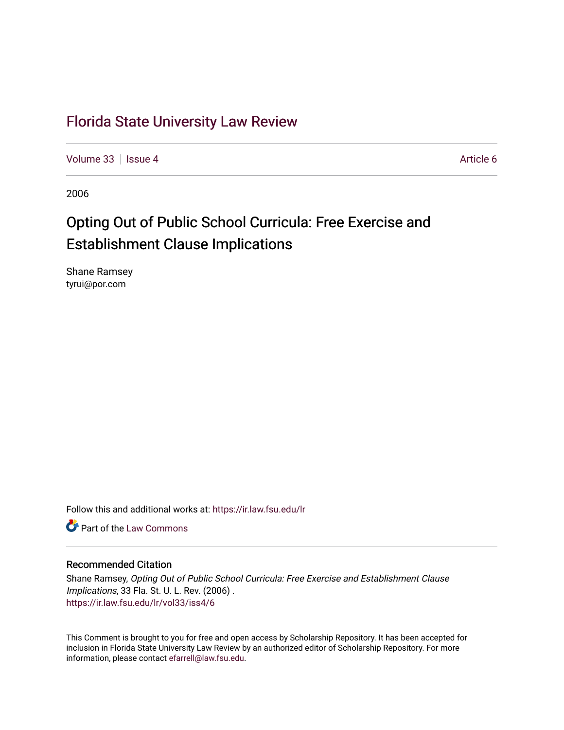### [Florida State University Law Review](https://ir.law.fsu.edu/lr)

[Volume 33](https://ir.law.fsu.edu/lr/vol33) | [Issue 4](https://ir.law.fsu.edu/lr/vol33/iss4) Article 6

2006

## Opting Out of Public School Curricula: Free Exercise and Establishment Clause Implications

Shane Ramsey tyrui@por.com

Follow this and additional works at: [https://ir.law.fsu.edu/lr](https://ir.law.fsu.edu/lr?utm_source=ir.law.fsu.edu%2Flr%2Fvol33%2Fiss4%2F6&utm_medium=PDF&utm_campaign=PDFCoverPages) 

**C** Part of the [Law Commons](http://network.bepress.com/hgg/discipline/578?utm_source=ir.law.fsu.edu%2Flr%2Fvol33%2Fiss4%2F6&utm_medium=PDF&utm_campaign=PDFCoverPages)

#### Recommended Citation

Shane Ramsey, Opting Out of Public School Curricula: Free Exercise and Establishment Clause Implications, 33 Fla. St. U. L. Rev. (2006) . [https://ir.law.fsu.edu/lr/vol33/iss4/6](https://ir.law.fsu.edu/lr/vol33/iss4/6?utm_source=ir.law.fsu.edu%2Flr%2Fvol33%2Fiss4%2F6&utm_medium=PDF&utm_campaign=PDFCoverPages)

This Comment is brought to you for free and open access by Scholarship Repository. It has been accepted for inclusion in Florida State University Law Review by an authorized editor of Scholarship Repository. For more information, please contact [efarrell@law.fsu.edu](mailto:efarrell@law.fsu.edu).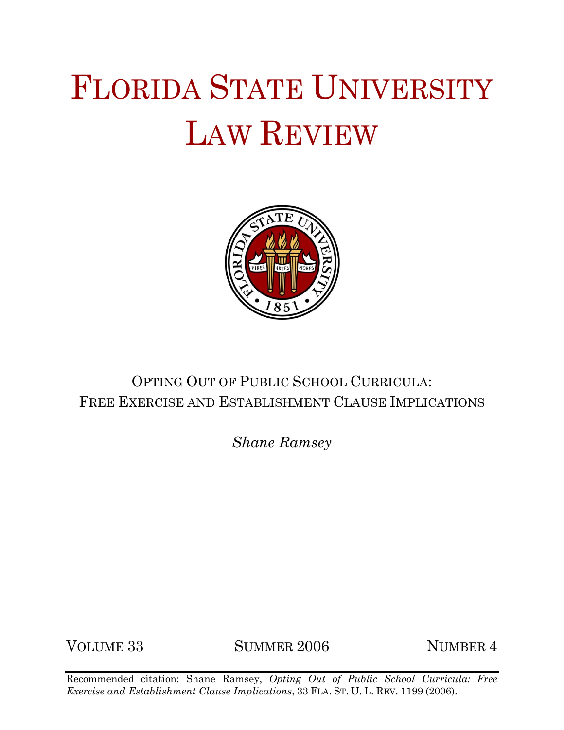# FLORIDA STATE UNIVERSITY LAW REVIEW



## OPTING OUT OF PUBLIC SCHOOL CURRICULA: FREE EXERCISE AND ESTABLISHMENT CLAUSE IMPLICATIONS

*Shane Ramsey*

VOLUME 33 SUMMER 2006 NUMBER 4

Recommended citation: Shane Ramsey, *Opting Out of Public School Curricula: Free Exercise and Establishment Clause Implications*, 33 FLA. ST. U. L. REV. 1199 (2006).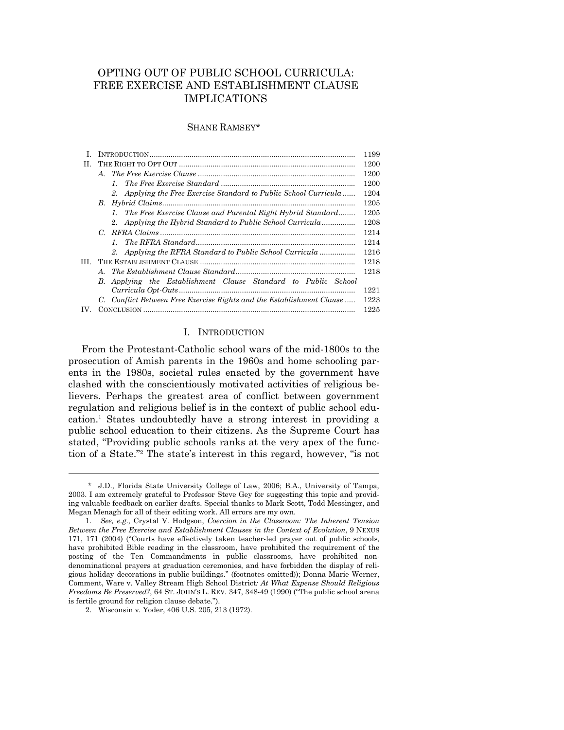#### OPTING OUT OF PUBLIC SCHOOL CURRICULA: FREE EXERCISE AND ESTABLISHMENT CLAUSE IMPLICATIONS

#### SHANE RAMSEY\*

|     |                                                                       | 1199 |
|-----|-----------------------------------------------------------------------|------|
| H.  |                                                                       | 1200 |
|     |                                                                       | 1200 |
|     |                                                                       | 1200 |
|     | 2. Applying the Free Exercise Standard to Public School Curricula     | 1204 |
|     |                                                                       | 1205 |
|     | 1. The Free Exercise Clause and Parental Right Hybrid Standard        | 1205 |
|     | 2. Applying the Hybrid Standard to Public School Curricula            | 1208 |
|     |                                                                       | 1214 |
|     |                                                                       | 1214 |
|     | 2. Applying the RFRA Standard to Public School Curricula              | 1216 |
| Ш   |                                                                       | 1218 |
|     |                                                                       | 1218 |
|     | Applying the Establishment Clause Standard to Public School<br>B.     |      |
|     |                                                                       | 1221 |
|     | C. Conflict Between Free Exercise Rights and the Establishment Clause | 1223 |
| IV. |                                                                       | 1225 |
|     |                                                                       |      |

#### I. INTRODUCTION

 From the Protestant-Catholic school wars of the mid-1800s to the prosecution of Amish parents in the 1960s and home schooling parents in the 1980s, societal rules enacted by the government have clashed with the conscientiously motivated activities of religious believers. Perhaps the greatest area of conflict between government regulation and religious belief is in the context of public school education.1 States undoubtedly have a strong interest in providing a public school education to their citizens. As the Supreme Court has stated, "Providing public schools ranks at the very apex of the function of a State."2 The state's interest in this regard, however, "is not

 <sup>\*</sup> J.D., Florida State University College of Law, 2006; B.A., University of Tampa, 2003. I am extremely grateful to Professor Steve Gey for suggesting this topic and providing valuable feedback on earlier drafts. Special thanks to Mark Scott, Todd Messinger, and Megan Menagh for all of their editing work. All errors are my own.

 <sup>1.</sup> *See, e.g*., Crystal V. Hodgson, *Coercion in the Classroom: The Inherent Tension Between the Free Exercise and Establishment Clauses in the Context of Evolution*, 9 NEXUS 171, 171 (2004) ("Courts have effectively taken teacher-led prayer out of public schools, have prohibited Bible reading in the classroom, have prohibited the requirement of the posting of the Ten Commandments in public classrooms, have prohibited nondenominational prayers at graduation ceremonies, and have forbidden the display of religious holiday decorations in public buildings." (footnotes omitted)); Donna Marie Werner, Comment, Ware v. Valley Stream High School District*: At What Expense Should Religious Freedoms Be Preserved?*, 64 ST. JOHN'S L. REV. 347, 348-49 (1990) ("The public school arena is fertile ground for religion clause debate.").

 <sup>2.</sup> Wisconsin v. Yoder, 406 U.S. 205, 213 (1972).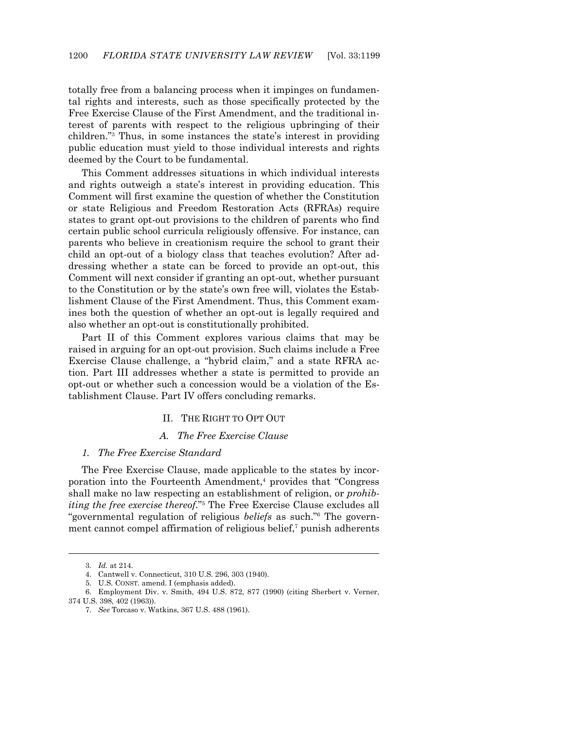totally free from a balancing process when it impinges on fundamental rights and interests, such as those specifically protected by the Free Exercise Clause of the First Amendment, and the traditional interest of parents with respect to the religious upbringing of their children."3 Thus, in some instances the state's interest in providing public education must yield to those individual interests and rights deemed by the Court to be fundamental.

 This Comment addresses situations in which individual interests and rights outweigh a state's interest in providing education. This Comment will first examine the question of whether the Constitution or state Religious and Freedom Restoration Acts (RFRAs) require states to grant opt-out provisions to the children of parents who find certain public school curricula religiously offensive. For instance, can parents who believe in creationism require the school to grant their child an opt-out of a biology class that teaches evolution? After addressing whether a state can be forced to provide an opt-out, this Comment will next consider if granting an opt-out, whether pursuant to the Constitution or by the state's own free will, violates the Establishment Clause of the First Amendment. Thus, this Comment examines both the question of whether an opt-out is legally required and also whether an opt-out is constitutionally prohibited.

 Part II of this Comment explores various claims that may be raised in arguing for an opt-out provision. Such claims include a Free Exercise Clause challenge, a "hybrid claim," and a state RFRA action. Part III addresses whether a state is permitted to provide an opt-out or whether such a concession would be a violation of the Establishment Clause. Part IV offers concluding remarks.

#### II. THE RIGHT TO OPT OUT

#### *A. The Free Exercise Clause*

#### *1. The Free Exercise Standard*

 The Free Exercise Clause, made applicable to the states by incorporation into the Fourteenth Amendment,<sup>4</sup> provides that "Congress" shall make no law respecting an establishment of religion, or *prohibiting the free exercise thereof*."5 The Free Exercise Clause excludes all "governmental regulation of religious *beliefs* as such."6 The government cannot compel affirmation of religious belief,<sup>7</sup> punish adherents

 <sup>3.</sup> *Id.* at 214.

 <sup>4.</sup> Cantwell v. Connecticut, 310 U.S. 296, 303 (1940).

 <sup>5.</sup> U.S. CONST. amend. I (emphasis added).

 <sup>6.</sup> Employment Div. v. Smith, 494 U.S. 872, 877 (1990) (citing Sherbert v. Verner, 374 U.S. 398, 402 (1963)).

 <sup>7.</sup> *See* Torcaso v. Watkins, 367 U.S. 488 (1961).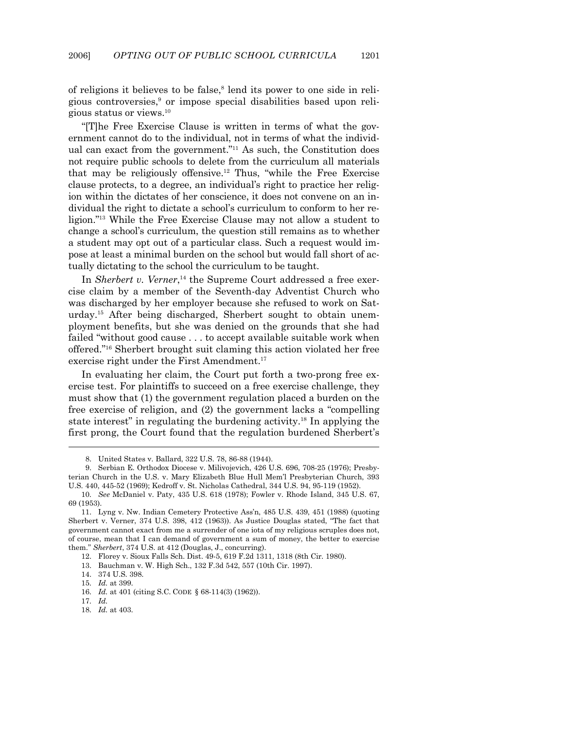of religions it believes to be false,<sup>8</sup> lend its power to one side in religious controversies,<sup>9</sup> or impose special disabilities based upon religious status or views.10

 "[T]he Free Exercise Clause is written in terms of what the government cannot do to the individual, not in terms of what the individual can exact from the government."11 As such, the Constitution does not require public schools to delete from the curriculum all materials that may be religiously offensive.12 Thus, "while the Free Exercise clause protects, to a degree, an individual's right to practice her religion within the dictates of her conscience, it does not convene on an individual the right to dictate a school's curriculum to conform to her religion."13 While the Free Exercise Clause may not allow a student to change a school's curriculum, the question still remains as to whether a student may opt out of a particular class. Such a request would impose at least a minimal burden on the school but would fall short of actually dictating to the school the curriculum to be taught.

In *Sherbert v. Verner*,<sup>14</sup> the Supreme Court addressed a free exercise claim by a member of the Seventh-day Adventist Church who was discharged by her employer because she refused to work on Saturday.15 After being discharged, Sherbert sought to obtain unemployment benefits, but she was denied on the grounds that she had failed "without good cause . . . to accept available suitable work when offered."16 Sherbert brought suit claming this action violated her free exercise right under the First Amendment.<sup>17</sup>

 In evaluating her claim, the Court put forth a two-prong free exercise test. For plaintiffs to succeed on a free exercise challenge, they must show that (1) the government regulation placed a burden on the free exercise of religion, and (2) the government lacks a "compelling state interest" in regulating the burdening activity.18 In applying the first prong, the Court found that the regulation burdened Sherbert's

 <sup>8.</sup> United States v. Ballard, 322 U.S. 78, 86-88 (1944).

 <sup>9.</sup> Serbian E. Orthodox Diocese v. Milivojevich, 426 U.S. 696, 708-25 (1976); Presbyterian Church in the U.S. v. Mary Elizabeth Blue Hull Mem'l Presbyterian Church, 393 U.S. 440, 445-52 (1969); Kedroff v. St. Nicholas Cathedral, 344 U.S. 94, 95-119 (1952).

 <sup>10.</sup> *See* McDaniel v. Paty, 435 U.S. 618 (1978); Fowler v. Rhode Island, 345 U.S. 67, 69 (1953).

 <sup>11.</sup> Lyng v. Nw. Indian Cemetery Protective Ass'n, 485 U.S. 439, 451 (1988) (quoting Sherbert v. Verner, 374 U.S. 398, 412 (1963)). As Justice Douglas stated, "The fact that government cannot exact from me a surrender of one iota of my religious scruples does not, of course, mean that I can demand of government a sum of money, the better to exercise them." *Sherbert*, 374 U.S. at 412 (Douglas, J., concurring).

 <sup>12.</sup> Florey v. Sioux Falls Sch. Dist. 49-5, 619 F.2d 1311, 1318 (8th Cir. 1980).

 <sup>13.</sup> Bauchman v. W. High Sch., 132 F.3d 542, 557 (10th Cir. 1997).

 <sup>14. 374</sup> U.S. 398.

 <sup>15.</sup> *Id.* at 399.

 <sup>16.</sup> *Id.* at 401 (citing S.C. CODE § 68-114(3) (1962)).

 <sup>17.</sup> *Id.*

 <sup>18.</sup> *Id.* at 403.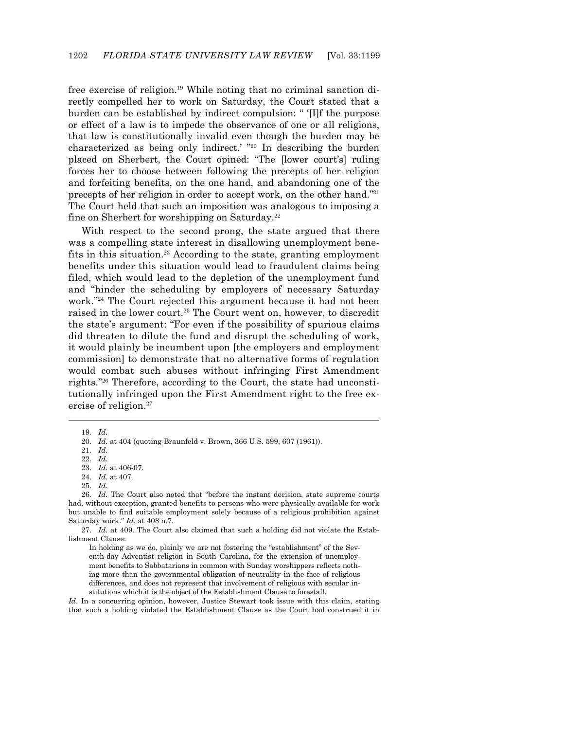free exercise of religion.19 While noting that no criminal sanction directly compelled her to work on Saturday, the Court stated that a burden can be established by indirect compulsion: " '[I]f the purpose or effect of a law is to impede the observance of one or all religions, that law is constitutionally invalid even though the burden may be characterized as being only indirect.' "20 In describing the burden placed on Sherbert, the Court opined: "The [lower court's] ruling forces her to choose between following the precepts of her religion and forfeiting benefits, on the one hand, and abandoning one of the precepts of her religion in order to accept work, on the other hand."21 The Court held that such an imposition was analogous to imposing a fine on Sherbert for worshipping on Saturday.22

 With respect to the second prong, the state argued that there was a compelling state interest in disallowing unemployment benefits in this situation.23 According to the state, granting employment benefits under this situation would lead to fraudulent claims being filed, which would lead to the depletion of the unemployment fund and "hinder the scheduling by employers of necessary Saturday work."24 The Court rejected this argument because it had not been raised in the lower court.25 The Court went on, however, to discredit the state's argument: "For even if the possibility of spurious claims did threaten to dilute the fund and disrupt the scheduling of work, it would plainly be incumbent upon [the employers and employment commission] to demonstrate that no alternative forms of regulation would combat such abuses without infringing First Amendment rights."26 Therefore, according to the Court, the state had unconstitutionally infringed upon the First Amendment right to the free exercise of religion.<sup>27</sup>

19. *Id.*

1

21. *Id.*

In holding as we do, plainly we are not fostering the "establishment" of the Seventh-day Adventist religion in South Carolina, for the extension of unemployment benefits to Sabbatarians in common with Sunday worshippers reflects nothing more than the governmental obligation of neutrality in the face of religious differences, and does not represent that involvement of religious with secular institutions which it is the object of the Establishment Clause to forestall.

*Id*. In a concurring opinion, however, Justice Stewart took issue with this claim, stating that such a holding violated the Establishment Clause as the Court had construed it in

 <sup>20.</sup> *Id.* at 404 (quoting Braunfeld v. Brown, 366 U.S. 599, 607 (1961)).

 <sup>22.</sup> *Id.*

 <sup>23.</sup> *Id*. at 406-07.

 <sup>24.</sup> *Id.* at 407.

 <sup>25.</sup> *Id.*

 <sup>26.</sup> *Id.* The Court also noted that "before the instant decision, state supreme courts had, without exception, granted benefits to persons who were physically available for work but unable to find suitable employment solely because of a religious prohibition against Saturday work." *Id.* at 408 n.7.

 <sup>27.</sup> *Id*. at 409. The Court also claimed that such a holding did not violate the Establishment Clause: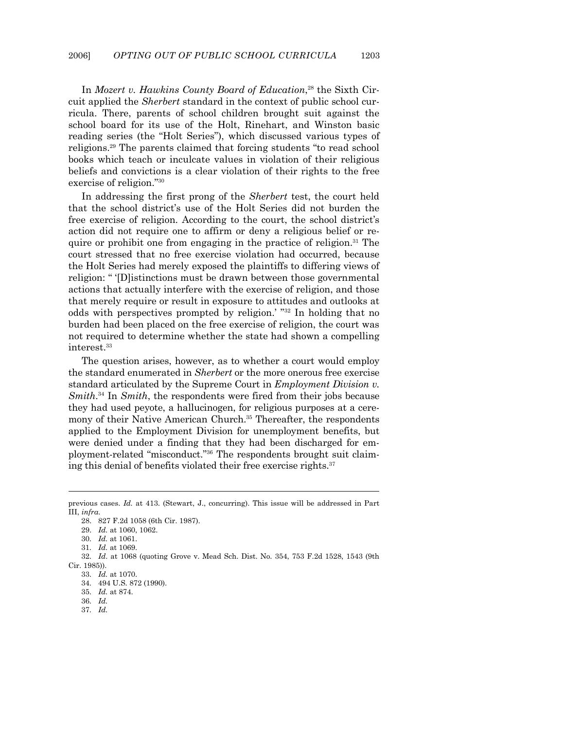In *Mozert v. Hawkins County Board of Education*, 28 the Sixth Circuit applied the *Sherbert* standard in the context of public school curricula. There, parents of school children brought suit against the school board for its use of the Holt, Rinehart, and Winston basic reading series (the "Holt Series"), which discussed various types of religions.29 The parents claimed that forcing students "to read school books which teach or inculcate values in violation of their religious beliefs and convictions is a clear violation of their rights to the free exercise of religion."30

 In addressing the first prong of the *Sherbert* test, the court held that the school district's use of the Holt Series did not burden the free exercise of religion. According to the court, the school district's action did not require one to affirm or deny a religious belief or require or prohibit one from engaging in the practice of religion.31 The court stressed that no free exercise violation had occurred, because the Holt Series had merely exposed the plaintiffs to differing views of religion: " '[D]istinctions must be drawn between those governmental actions that actually interfere with the exercise of religion, and those that merely require or result in exposure to attitudes and outlooks at odds with perspectives prompted by religion.' "32 In holding that no burden had been placed on the free exercise of religion, the court was not required to determine whether the state had shown a compelling interest.33

 The question arises, however, as to whether a court would employ the standard enumerated in *Sherbert* or the more onerous free exercise standard articulated by the Supreme Court in *Employment Division v. Smith*. 34 In *Smith*, the respondents were fired from their jobs because they had used peyote, a hallucinogen, for religious purposes at a ceremony of their Native American Church.<sup>35</sup> Thereafter, the respondents applied to the Employment Division for unemployment benefits, but were denied under a finding that they had been discharged for employment-related "misconduct."36 The respondents brought suit claiming this denial of benefits violated their free exercise rights.<sup>37</sup>

previous cases. *Id.* at 413. (Stewart, J., concurring). This issue will be addressed in Part III, *infra*.

 <sup>28. 827</sup> F.2d 1058 (6th Cir. 1987).

 <sup>29.</sup> *Id.* at 1060, 1062.

 <sup>30.</sup> *Id.* at 1061.

 <sup>31.</sup> *Id.* at 1069.

 <sup>32.</sup> *Id*. at 1068 (quoting Grove v. Mead Sch. Dist. No. 354, 753 F.2d 1528, 1543 (9th Cir. 1985)).

 <sup>33.</sup> *Id.* at 1070.

 <sup>34. 494</sup> U.S. 872 (1990).

 <sup>35.</sup> *Id.* at 874.

 <sup>36.</sup> *Id.*

 <sup>37.</sup> *Id.*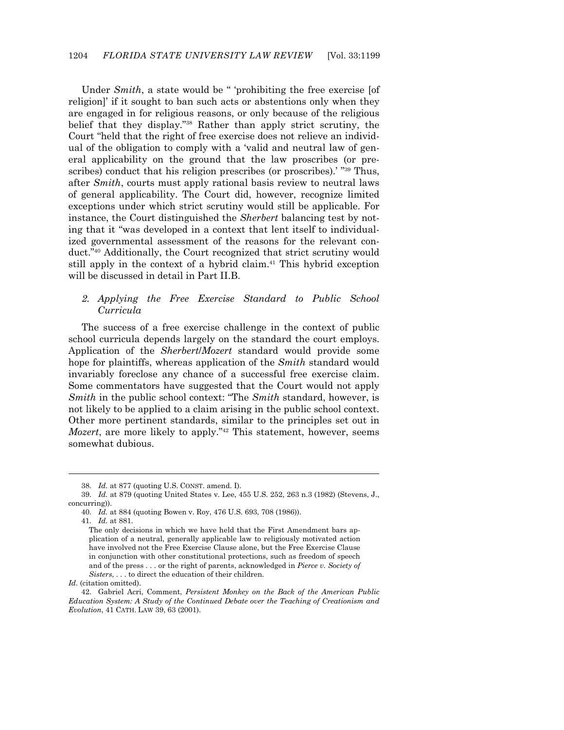Under *Smith*, a state would be " 'prohibiting the free exercise [of religion]' if it sought to ban such acts or abstentions only when they are engaged in for religious reasons, or only because of the religious belief that they display."38 Rather than apply strict scrutiny, the Court "held that the right of free exercise does not relieve an individual of the obligation to comply with a 'valid and neutral law of general applicability on the ground that the law proscribes (or prescribes) conduct that his religion prescribes (or proscribes).<sup>' "39</sup> Thus, after *Smith*, courts must apply rational basis review to neutral laws of general applicability. The Court did, however, recognize limited exceptions under which strict scrutiny would still be applicable. For instance, the Court distinguished the *Sherbert* balancing test by noting that it "was developed in a context that lent itself to individualized governmental assessment of the reasons for the relevant conduct."40 Additionally, the Court recognized that strict scrutiny would still apply in the context of a hybrid claim.<sup>41</sup> This hybrid exception will be discussed in detail in Part II.B.

#### *2. Applying the Free Exercise Standard to Public School Curricula*

 The success of a free exercise challenge in the context of public school curricula depends largely on the standard the court employs. Application of the *Sherbert*/*Mozert* standard would provide some hope for plaintiffs, whereas application of the *Smith* standard would invariably foreclose any chance of a successful free exercise claim. Some commentators have suggested that the Court would not apply *Smith* in the public school context: "The *Smith* standard, however, is not likely to be applied to a claim arising in the public school context. Other more pertinent standards, similar to the principles set out in *Mozert*, are more likely to apply."<sup>42</sup> This statement, however, seems somewhat dubious.

 <sup>38.</sup> *Id.* at 877 (quoting U.S. CONST. amend. I).

 <sup>39.</sup> *Id.* at 879 (quoting United States v. Lee, 455 U.S. 252, 263 n.3 (1982) (Stevens, J., concurring)).

 <sup>40.</sup> *Id.* at 884 (quoting Bowen v. Roy, 476 U.S. 693, 708 (1986)).

 <sup>41.</sup> *Id.* at 881.

The only decisions in which we have held that the First Amendment bars application of a neutral, generally applicable law to religiously motivated action have involved not the Free Exercise Clause alone, but the Free Exercise Clause in conjunction with other constitutional protections, such as freedom of speech and of the press . . . or the right of parents, acknowledged in *Pierce v. Society of Sisters*, . . . to direct the education of their children.

*Id.* (citation omitted).

 <sup>42.</sup> Gabriel Acri, Comment, *Persistent Monkey on the Back of the American Public Education System: A Study of the Continued Debate over the Teaching of Creationism and Evolution*, 41 CATH. LAW 39, 63 (2001).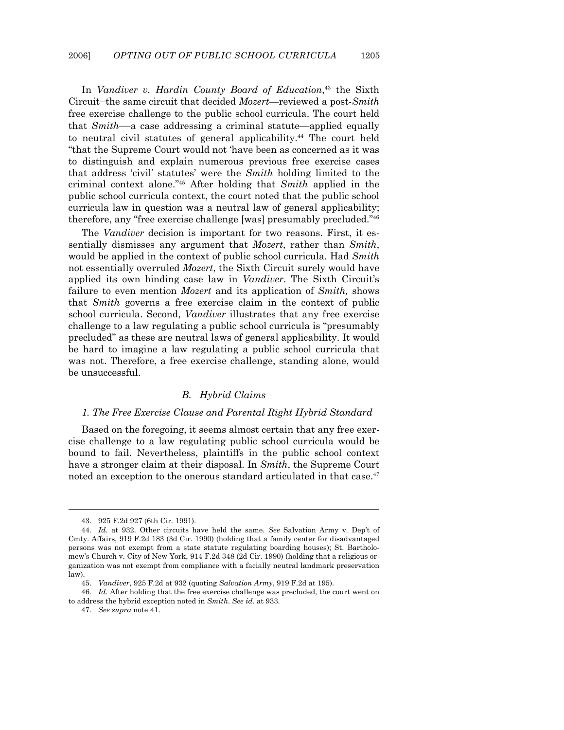In *Vandiver v. Hardin County Board of Education*, 43 the Sixth Circuit—the same circuit that decided *Mozert—*reviewed a post-*Smith* free exercise challenge to the public school curricula. The court held that *Smith*——a case addressing a criminal statute—applied equally to neutral civil statutes of general applicability.<sup>44</sup> The court held "that the Supreme Court would not 'have been as concerned as it was to distinguish and explain numerous previous free exercise cases that address 'civil' statutes' were the *Smith* holding limited to the criminal context alone."45 After holding that *Smith* applied in the public school curricula context, the court noted that the public school curricula law in question was a neutral law of general applicability; therefore, any "free exercise challenge [was] presumably precluded."46

 The *Vandiver* decision is important for two reasons. First, it essentially dismisses any argument that *Mozert*, rather than *Smith*, would be applied in the context of public school curricula. Had *Smith* not essentially overruled *Mozert*, the Sixth Circuit surely would have applied its own binding case law in *Vandiver*. The Sixth Circuit's failure to even mention *Mozert* and its application of *Smith,* shows that *Smith* governs a free exercise claim in the context of public school curricula. Second, *Vandiver* illustrates that any free exercise challenge to a law regulating a public school curricula is "presumably precluded" as these are neutral laws of general applicability. It would be hard to imagine a law regulating a public school curricula that was not. Therefore, a free exercise challenge, standing alone, would be unsuccessful.

#### *B. Hybrid Claims*

#### *1. The Free Exercise Clause and Parental Right Hybrid Standard*

 Based on the foregoing, it seems almost certain that any free exercise challenge to a law regulating public school curricula would be bound to fail. Nevertheless, plaintiffs in the public school context have a stronger claim at their disposal. In *Smith*, the Supreme Court noted an exception to the onerous standard articulated in that case.<sup>47</sup>

 <sup>43. 925</sup> F.2d 927 (6th Cir. 1991).

 <sup>44.</sup> *Id.* at 932. Other circuits have held the same. *See* Salvation Army v. Dep't of Cmty. Affairs, 919 F.2d 183 (3d Cir. 1990) (holding that a family center for disadvantaged persons was not exempt from a state statute regulating boarding houses); St. Bartholomew's Church v. City of New York, 914 F.2d 348 (2d Cir. 1990) (holding that a religious organization was not exempt from compliance with a facially neutral landmark preservation law).

 <sup>45.</sup> *Vandiver*, 925 F.2d at 932 (quoting *Salvation Army*, 919 F.2d at 195).

 <sup>46.</sup> *Id.* After holding that the free exercise challenge was precluded, the court went on to address the hybrid exception noted in *Smith*. *See id.* at 933.

 <sup>47.</sup> *See supra* note 41.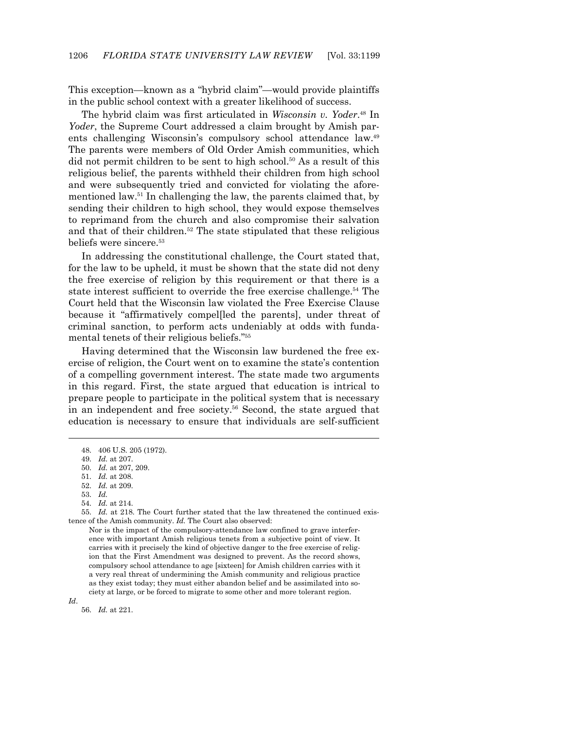This exception—known as a "hybrid claim"—would provide plaintiffs in the public school context with a greater likelihood of success.

 The hybrid claim was first articulated in *Wisconsin v. Yoder*. 48 In *Yoder*, the Supreme Court addressed a claim brought by Amish parents challenging Wisconsin's compulsory school attendance law.49 The parents were members of Old Order Amish communities, which did not permit children to be sent to high school.50 As a result of this religious belief, the parents withheld their children from high school and were subsequently tried and convicted for violating the aforementioned law.51 In challenging the law, the parents claimed that, by sending their children to high school, they would expose themselves to reprimand from the church and also compromise their salvation and that of their children.<sup>52</sup> The state stipulated that these religious beliefs were sincere.53

 In addressing the constitutional challenge, the Court stated that, for the law to be upheld, it must be shown that the state did not deny the free exercise of religion by this requirement or that there is a state interest sufficient to override the free exercise challenge.54 The Court held that the Wisconsin law violated the Free Exercise Clause because it "affirmatively compel[led the parents], under threat of criminal sanction, to perform acts undeniably at odds with fundamental tenets of their religious beliefs."55

 Having determined that the Wisconsin law burdened the free exercise of religion, the Court went on to examine the state's contention of a compelling government interest. The state made two arguments in this regard. First, the state argued that education is intrical to prepare people to participate in the political system that is necessary in an independent and free society.56 Second, the state argued that education is necessary to ensure that individuals are self-sufficient

 55. *Id.* at 218. The Court further stated that the law threatened the continued existence of the Amish community. *Id.* The Court also observed:

Nor is the impact of the compulsory-attendance law confined to grave interference with important Amish religious tenets from a subjective point of view. It carries with it precisely the kind of objective danger to the free exercise of religion that the First Amendment was designed to prevent. As the record shows, compulsory school attendance to age [sixteen] for Amish children carries with it a very real threat of undermining the Amish community and religious practice as they exist today; they must either abandon belief and be assimilated into society at large, or be forced to migrate to some other and more tolerant region.

*Id*.

 <sup>48. 406</sup> U.S. 205 (1972).

 <sup>49.</sup> *Id.* at 207.

 <sup>50.</sup> *Id.* at 207, 209.

 <sup>51.</sup> *Id.* at 208.

 <sup>52.</sup> *Id.* at 209.

 <sup>53.</sup> *Id.*

 <sup>54.</sup> *Id.* at 214.

 <sup>56.</sup> *Id.* at 221.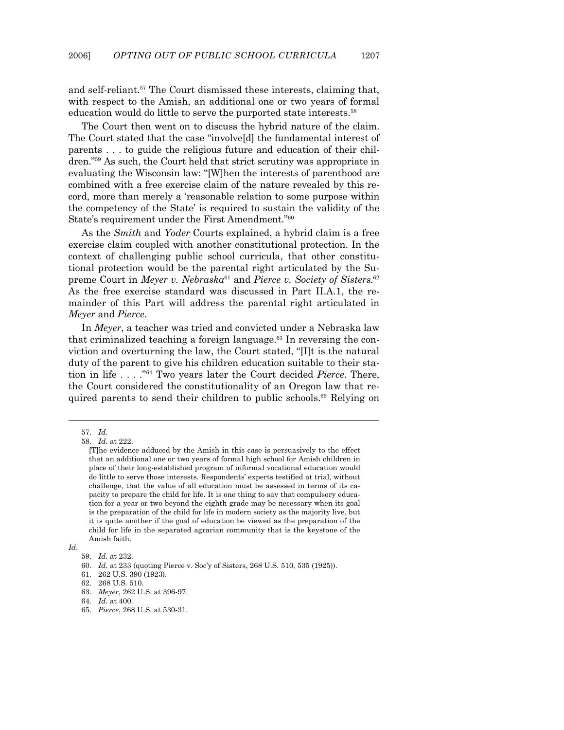and self-reliant.57 The Court dismissed these interests, claiming that, with respect to the Amish, an additional one or two years of formal education would do little to serve the purported state interests.<sup>58</sup>

 The Court then went on to discuss the hybrid nature of the claim. The Court stated that the case "involve[d] the fundamental interest of parents . . . to guide the religious future and education of their children."59 As such, the Court held that strict scrutiny was appropriate in evaluating the Wisconsin law: "[W]hen the interests of parenthood are combined with a free exercise claim of the nature revealed by this record, more than merely a 'reasonable relation to some purpose within the competency of the State' is required to sustain the validity of the State's requirement under the First Amendment."60

 As the *Smith* and *Yoder* Courts explained, a hybrid claim is a free exercise claim coupled with another constitutional protection. In the context of challenging public school curricula, that other constitutional protection would be the parental right articulated by the Supreme Court in *Meyer v. Nebraska*61 and *Pierce v. Society of Sisters.*<sup>62</sup> As the free exercise standard was discussed in Part II.A.1, the remainder of this Part will address the parental right articulated in *Meyer* and *Pierce*.

 In *Meyer*, a teacher was tried and convicted under a Nebraska law that criminalized teaching a foreign language. $63$  In reversing the conviction and overturning the law, the Court stated, "[I]t is the natural duty of the parent to give his children education suitable to their station in life . . . ."64 Two years later the Court decided *Pierce*. There, the Court considered the constitutionality of an Oregon law that required parents to send their children to public schools.<sup>65</sup> Relying on

 <sup>57.</sup> *Id.*

 <sup>58.</sup> *Id.* at 222.

<sup>[</sup>T]he evidence adduced by the Amish in this case is persuasively to the effect that an additional one or two years of formal high school for Amish children in place of their long-established program of informal vocational education would do little to serve those interests. Respondents' experts testified at trial, without challenge, that the value of all education must be assessed in terms of its capacity to prepare the child for life. It is one thing to say that compulsory education for a year or two beyond the eighth grade may be necessary when its goal is the preparation of the child for life in modern society as the majority live, but it is quite another if the goal of education be viewed as the preparation of the child for life in the separated agrarian community that is the keystone of the Amish faith.

*Id*.

 <sup>59.</sup> *Id.* at 232.

 <sup>60.</sup> *Id.* at 233 (quoting Pierce v. Soc'y of Sisters, 268 U.S. 510, 535 (1925)).

 <sup>61. 262</sup> U.S. 390 (1923).

 <sup>62. 268</sup> U.S. 510.

 <sup>63.</sup> *Meyer*, 262 U.S. at 396-97.

 <sup>64.</sup> *Id.* at 400.

 <sup>65.</sup> *Pierce*, 268 U.S. at 530-31.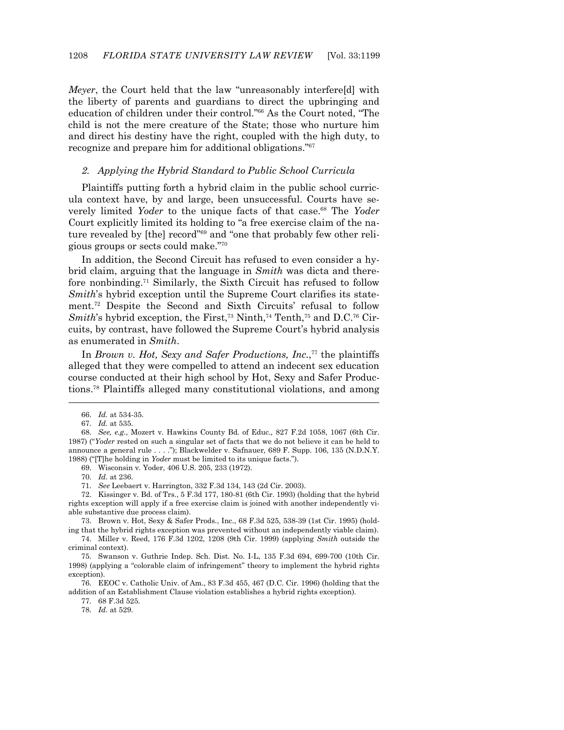*Meyer*, the Court held that the law "unreasonably interfere[d] with the liberty of parents and guardians to direct the upbringing and education of children under their control."66 As the Court noted, "The child is not the mere creature of the State; those who nurture him and direct his destiny have the right, coupled with the high duty, to recognize and prepare him for additional obligations."67

#### *2. Applying the Hybrid Standard to Public School Curricula*

 Plaintiffs putting forth a hybrid claim in the public school curricula context have, by and large, been unsuccessful. Courts have severely limited *Yoder* to the unique facts of that case.<sup>68</sup> The *Yoder* Court explicitly limited its holding to "a free exercise claim of the nature revealed by [the] record"<sup>69</sup> and "one that probably few other religious groups or sects could make."70

 In addition, the Second Circuit has refused to even consider a hybrid claim, arguing that the language in *Smith* was dicta and therefore nonbinding.71 Similarly, the Sixth Circuit has refused to follow *Smith*'s hybrid exception until the Supreme Court clarifies its statement.72 Despite the Second and Sixth Circuits' refusal to follow *Smith*'s hybrid exception, the First,<sup>73</sup> Ninth,<sup>74</sup> Tenth,<sup>75</sup> and D.C.<sup>76</sup> Circuits, by contrast, have followed the Supreme Court's hybrid analysis as enumerated in *Smith*.

In *Brown v. Hot, Sexy and Safer Productions, Inc.*<sup>77</sup> the plaintiffs alleged that they were compelled to attend an indecent sex education course conducted at their high school by Hot, Sexy and Safer Productions.78 Plaintiffs alleged many constitutional violations, and among

1

77. 68 F.3d 525.

78. *Id.* at 529.

 <sup>66.</sup> *Id.* at 534-35.

 <sup>67.</sup> *Id.* at 535.

 <sup>68.</sup> *See, e.g.*, Mozert v. Hawkins County Bd. of Educ.*,* 827 F.2d 1058, 1067 (6th Cir. 1987) ("*Yoder* rested on such a singular set of facts that we do not believe it can be held to announce a general rule . . . ."); Blackwelder v. Safnauer*,* 689 F. Supp. 106, 135 (N.D.N.Y. 1988) ("[T]he holding in *Yoder* must be limited to its unique facts.").

 <sup>69.</sup> Wisconsin v. Yoder, 406 U.S. 205, 233 (1972).

 <sup>70.</sup> *Id.* at 236.

 <sup>71.</sup> *See* Leebaert v. Harrington, 332 F.3d 134, 143 (2d Cir. 2003).

 <sup>72.</sup> Kissinger v. Bd. of Trs., 5 F.3d 177, 180-81 (6th Cir. 1993) (holding that the hybrid rights exception will apply if a free exercise claim is joined with another independently viable substantive due process claim).

 <sup>73.</sup> Brown v. Hot, Sexy & Safer Prods., Inc., 68 F.3d 525, 538-39 (1st Cir. 1995) (holding that the hybrid rights exception was prevented without an independently viable claim).

 <sup>74.</sup> Miller v. Reed, 176 F.3d 1202, 1208 (9th Cir. 1999) (applying *Smith* outside the criminal context).

 <sup>75.</sup> Swanson v. Guthrie Indep. Sch. Dist. No. I-L, 135 F.3d 694, 699-700 (10th Cir. 1998) (applying a "colorable claim of infringement" theory to implement the hybrid rights exception).

 <sup>76.</sup> EEOC v. Catholic Univ. of Am., 83 F.3d 455, 467 (D.C. Cir. 1996) (holding that the addition of an Establishment Clause violation establishes a hybrid rights exception).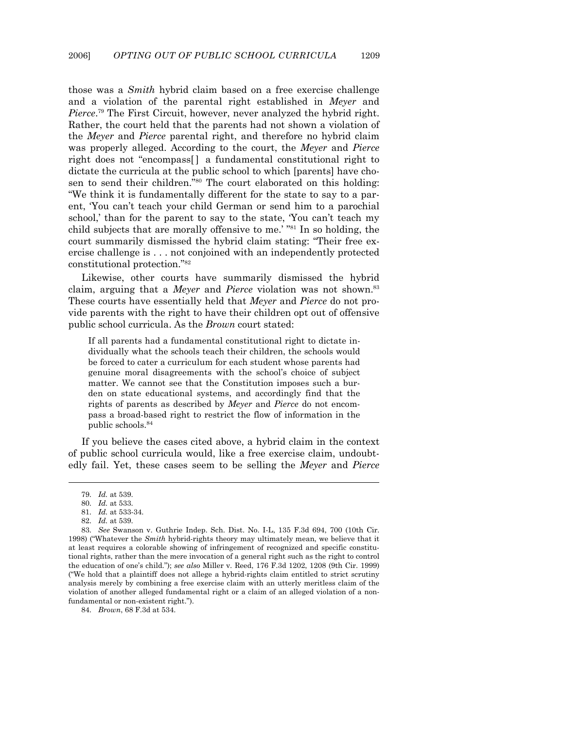those was a *Smith* hybrid claim based on a free exercise challenge and a violation of the parental right established in *Meyer* and *Pierce*. 79 The First Circuit, however, never analyzed the hybrid right. Rather, the court held that the parents had not shown a violation of the *Meyer* and *Pierce* parental right, and therefore no hybrid claim was properly alleged. According to the court, the *Meyer* and *Pierce* right does not "encompass[ ] a fundamental constitutional right to dictate the curricula at the public school to which [parents] have chosen to send their children."<sup>80</sup> The court elaborated on this holding: "We think it is fundamentally different for the state to say to a parent, 'You can't teach your child German or send him to a parochial school,' than for the parent to say to the state, 'You can't teach my child subjects that are morally offensive to me.' "81 In so holding, the court summarily dismissed the hybrid claim stating: "Their free exercise challenge is . . . not conjoined with an independently protected constitutional protection."82

 Likewise, other courts have summarily dismissed the hybrid claim, arguing that a *Meyer* and *Pierce* violation was not shown.<sup>83</sup> These courts have essentially held that *Meyer* and *Pierce* do not provide parents with the right to have their children opt out of offensive public school curricula. As the *Brown* court stated:

If all parents had a fundamental constitutional right to dictate individually what the schools teach their children, the schools would be forced to cater a curriculum for each student whose parents had genuine moral disagreements with the school's choice of subject matter. We cannot see that the Constitution imposes such a burden on state educational systems, and accordingly find that the rights of parents as described by *Meyer* and *Pierce* do not encompass a broad-based right to restrict the flow of information in the public schools.84

 If you believe the cases cited above, a hybrid claim in the context of public school curricula would, like a free exercise claim, undoubtedly fail. Yet, these cases seem to be selling the *Meyer* and *Pierce*

 <sup>79.</sup> *Id.* at 539.

 <sup>80.</sup> *Id.* at 533.

 <sup>81.</sup> *Id.* at 533-34.

 <sup>82.</sup> *Id.* at 539.

 <sup>83.</sup> *See* Swanson v. Guthrie Indep. Sch. Dist. No. I-L, 135 F.3d 694, 700 (10th Cir. 1998) ("Whatever the *Smith* hybrid-rights theory may ultimately mean, we believe that it at least requires a colorable showing of infringement of recognized and specific constitutional rights, rather than the mere invocation of a general right such as the right to control the education of one's child."); *see also* Miller v. Reed, 176 F.3d 1202, 1208 (9th Cir. 1999) ("We hold that a plaintiff does not allege a hybrid-rights claim entitled to strict scrutiny analysis merely by combining a free exercise claim with an utterly meritless claim of the violation of another alleged fundamental right or a claim of an alleged violation of a nonfundamental or non-existent right.").

 <sup>84.</sup> *Brown*, 68 F.3d at 534.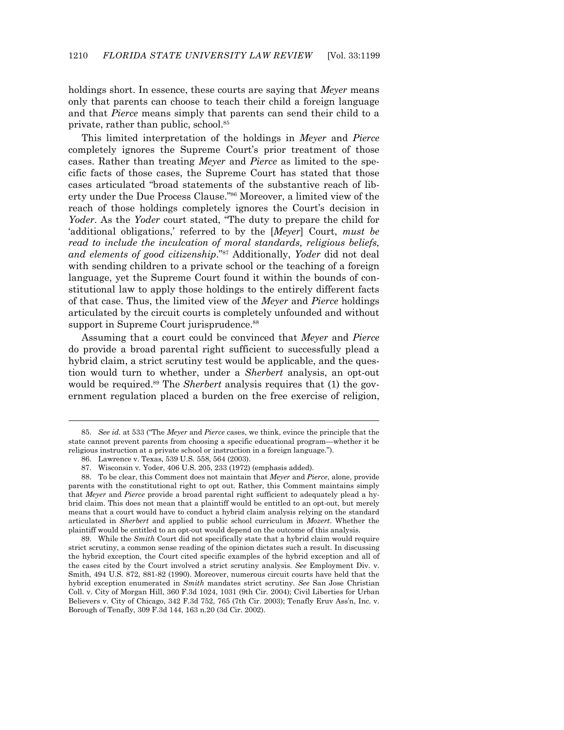holdings short. In essence, these courts are saying that *Meyer* means only that parents can choose to teach their child a foreign language and that *Pierce* means simply that parents can send their child to a private, rather than public, school.85

 This limited interpretation of the holdings in *Meyer* and *Pierce* completely ignores the Supreme Court's prior treatment of those cases. Rather than treating *Meyer* and *Pierce* as limited to the specific facts of those cases, the Supreme Court has stated that those cases articulated "broad statements of the substantive reach of liberty under the Due Process Clause."86 Moreover, a limited view of the reach of those holdings completely ignores the Court's decision in *Yoder*. As the *Yoder* court stated, "The duty to prepare the child for 'additional obligations,' referred to by the [*Meyer*] Court, *must be read to include the inculcation of moral standards, religious beliefs, and elements of good citizenship*."87 Additionally, *Yoder* did not deal with sending children to a private school or the teaching of a foreign language, yet the Supreme Court found it within the bounds of constitutional law to apply those holdings to the entirely different facts of that case. Thus, the limited view of the *Meyer* and *Pierce* holdings articulated by the circuit courts is completely unfounded and without support in Supreme Court jurisprudence.<sup>88</sup>

 Assuming that a court could be convinced that *Meyer* and *Pierce* do provide a broad parental right sufficient to successfully plead a hybrid claim, a strict scrutiny test would be applicable, and the question would turn to whether, under a *Sherbert* analysis, an opt-out would be required.<sup>89</sup> The *Sherbert* analysis requires that (1) the government regulation placed a burden on the free exercise of religion,

-

 89. While the *Smith* Court did not specifically state that a hybrid claim would require strict scrutiny, a common sense reading of the opinion dictates such a result. In discussing the hybrid exception, the Court cited specific examples of the hybrid exception and all of the cases cited by the Court involved a strict scrutiny analysis. *See* Employment Div. v. Smith, 494 U.S. 872, 881-82 (1990). Moreover, numerous circuit courts have held that the hybrid exception enumerated in *Smith* mandates strict scrutiny. *See* San Jose Christian Coll. v. City of Morgan Hill, 360 F.3d 1024, 1031 (9th Cir. 2004); Civil Liberties for Urban Believers v. City of Chicago, 342 F.3d 752, 765 (7th Cir. 2003); Tenafly Eruv Ass'n, Inc. v. Borough of Tenafly, 309 F.3d 144, 163 n.20 (3d Cir. 2002).

 <sup>85.</sup> *See id.* at 533 ("The *Meyer* and *Pierce* cases, we think, evince the principle that the state cannot prevent parents from choosing a specific educational program—whether it be religious instruction at a private school or instruction in a foreign language.").

 <sup>86.</sup> Lawrence v. Texas, 539 U.S. 558, 564 (2003).

 <sup>87.</sup> Wisconsin v. Yoder, 406 U.S. 205, 233 (1972) (emphasis added).

 <sup>88.</sup> To be clear, this Comment does not maintain that *Meyer* and *Pierce*, alone, provide parents with the constitutional right to opt out. Rather, this Comment maintains simply that *Meyer* and *Pierce* provide a broad parental right sufficient to adequately plead a hybrid claim. This does not mean that a plaintiff would be entitled to an opt-out, but merely means that a court would have to conduct a hybrid claim analysis relying on the standard articulated in *Sherbert* and applied to public school curriculum in *Mozert*. Whether the plaintiff would be entitled to an opt-out would depend on the outcome of this analysis.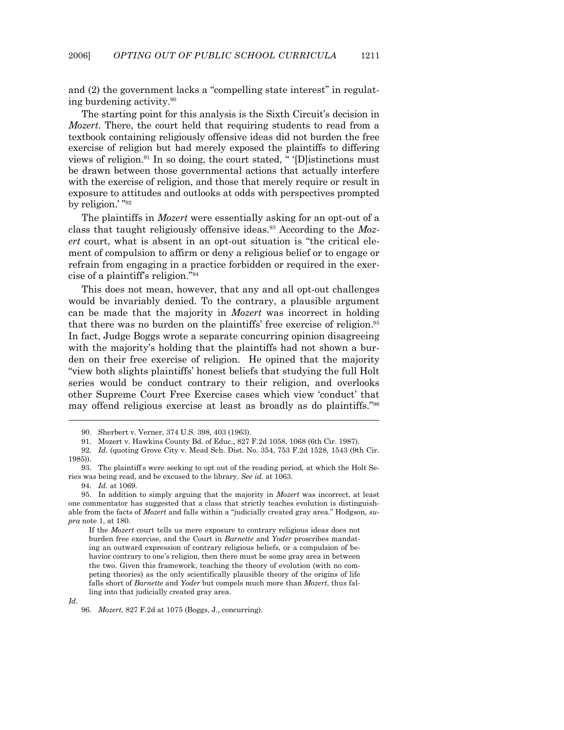and (2) the government lacks a "compelling state interest" in regulating burdening activity.90

 The starting point for this analysis is the Sixth Circuit's decision in *Mozert*. There, the court held that requiring students to read from a textbook containing religiously offensive ideas did not burden the free exercise of religion but had merely exposed the plaintiffs to differing views of religion.<sup>91</sup> In so doing, the court stated, " '[D] istinctions must be drawn between those governmental actions that actually interfere with the exercise of religion, and those that merely require or result in exposure to attitudes and outlooks at odds with perspectives prompted by religion.' "92

The plaintiffs in *Mozert* were essentially asking for an opt-out of a class that taught religiously offensive ideas.93 According to the *Mozert* court, what is absent in an opt-out situation is "the critical element of compulsion to affirm or deny a religious belief or to engage or refrain from engaging in a practice forbidden or required in the exercise of a plaintiff's religion."94

 This does not mean, however, that any and all opt-out challenges would be invariably denied. To the contrary, a plausible argument can be made that the majority in *Mozert* was incorrect in holding that there was no burden on the plaintiffs' free exercise of religion.<sup>95</sup> In fact, Judge Boggs wrote a separate concurring opinion disagreeing with the majority's holding that the plaintiffs had not shown a burden on their free exercise of religion. He opined that the majority "view both slights plaintiffs' honest beliefs that studying the full Holt series would be conduct contrary to their religion, and overlooks other Supreme Court Free Exercise cases which view 'conduct' that may offend religious exercise at least as broadly as do plaintiffs."96

 <sup>90.</sup> Sherbert v. Verner, 374 U.S. 398, 403 (1963).

 <sup>91.</sup> Mozert v. Hawkins County Bd. of Educ., 827 F.2d 1058, 1068 (6th Cir. 1987).

 <sup>92.</sup> *Id*. (quoting Grove City v. Mead Sch. Dist. No. 354, 753 F.2d 1528, 1543 (9th Cir. 1985)).

 <sup>93.</sup> The plaintiff s were seeking to opt out of the reading period, at which the Holt Series was being read, and be excused to the library. *See id.* at 1063.

 <sup>94.</sup> *Id.* at 1069.

 <sup>95.</sup> In addition to simply arguing that the majority in *Mozert* was incorrect, at least one commentator has suggested that a class that strictly teaches evolution is distinguishable from the facts of *Mozert* and falls within a "judicially created gray area." Hodgson, *supra* note 1, at 180.

If the *Mozert* court tells us mere exposure to contrary religious ideas does not burden free exercise, and the Court in *Barnette* and *Yoder* proscribes mandating an outward expression of contrary religious beliefs, or a compulsion of behavior contrary to one's religion, then there must be some gray area in between the two. Given this framework, teaching the theory of evolution (with no competing theories) as the only scientifically plausible theory of the origins of life falls short of *Barnette* and *Yoder* but compels much more than *Mozert*, thus falling into that judicially created gray area.

*Id*.

 <sup>96.</sup> *Mozert*, 827 F.2d at 1075 (Boggs, J., concurring).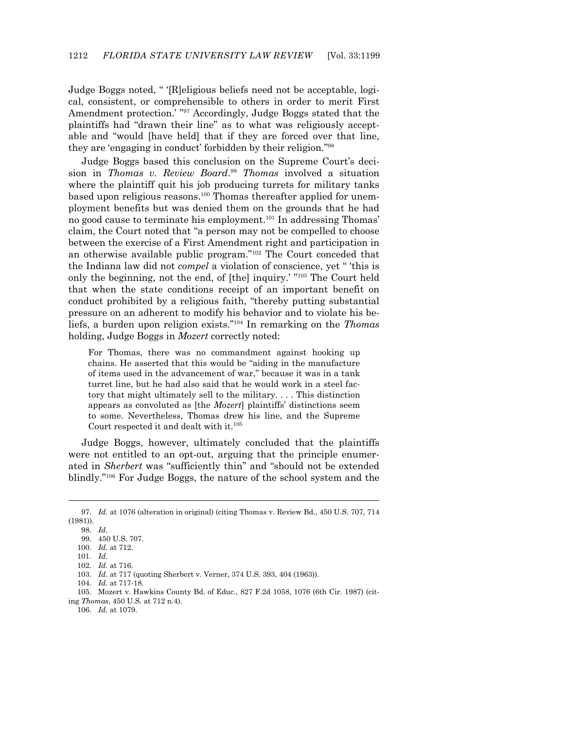Judge Boggs noted, " '[R]eligious beliefs need not be acceptable, logical, consistent, or comprehensible to others in order to merit First Amendment protection.' "97 Accordingly, Judge Boggs stated that the plaintiffs had "drawn their line" as to what was religiously acceptable and "would [have held] that if they are forced over that line, they are 'engaging in conduct' forbidden by their religion."98

 Judge Boggs based this conclusion on the Supreme Court's decision in *Thomas v. Review Board*. <sup>99</sup> *Thomas* involved a situation where the plaintiff quit his job producing turrets for military tanks based upon religious reasons.100 Thomas thereafter applied for unemployment benefits but was denied them on the grounds that he had no good cause to terminate his employment.101 In addressing Thomas' claim, the Court noted that "a person may not be compelled to choose between the exercise of a First Amendment right and participation in an otherwise available public program."102 The Court conceded that the Indiana law did not *compel* a violation of conscience, yet " 'this is only the beginning, not the end, of [the] inquiry.' "103 The Court held that when the state conditions receipt of an important benefit on conduct prohibited by a religious faith, "thereby putting substantial pressure on an adherent to modify his behavior and to violate his beliefs, a burden upon religion exists."104 In remarking on the *Thomas* holding, Judge Boggs in *Mozert* correctly noted:

For Thomas, there was no commandment against hooking up chains. He asserted that this would be "aiding in the manufacture of items used in the advancement of war," because it was in a tank turret line, but he had also said that he would work in a steel factory that might ultimately sell to the military. . . . This distinction appears as convoluted as [the *Mozert*] plaintiffs' distinctions seem to some. Nevertheless, Thomas drew his line, and the Supreme Court respected it and dealt with it.<sup>105</sup>

Judge Boggs, however, ultimately concluded that the plaintiffs were not entitled to an opt-out, arguing that the principle enumerated in *Sherbert* was "sufficiently thin" and "should not be extended blindly."106 For Judge Boggs, the nature of the school system and the

1

106. *Id.* at 1079.

 <sup>97.</sup> *Id.* at 1076 (alteration in original) (citing Thomas v. Review Bd., 450 U.S. 707, 714 (1981)).

 <sup>98.</sup> *Id.*

 <sup>99. 450</sup> U.S. 707.

 <sup>100.</sup> *Id.* at 712.

 <sup>101.</sup> *Id.*

 <sup>102.</sup> *Id.* at 716.

 <sup>103.</sup> *Id.* at 717 (quoting Sherbert v. Verner, 374 U.S. 393, 404 (1963)).

 <sup>104.</sup> *Id.* at 717-18.

 <sup>105.</sup> Mozert v. Hawkins County Bd. of Educ., 827 F.2d 1058, 1076 (6th Cir. 1987) (citing *Thomas*, 450 U.S. at 712 n.4).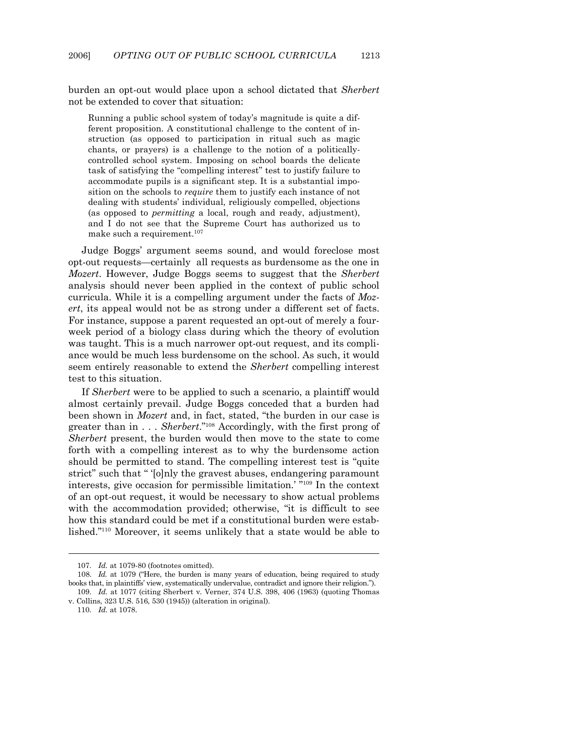burden an opt-out would place upon a school dictated that *Sherbert* not be extended to cover that situation:

Running a public school system of today's magnitude is quite a different proposition. A constitutional challenge to the content of instruction (as opposed to participation in ritual such as magic chants, or prayers) is a challenge to the notion of a politicallycontrolled school system. Imposing on school boards the delicate task of satisfying the "compelling interest" test to justify failure to accommodate pupils is a significant step. It is a substantial imposition on the schools to *require* them to justify each instance of not dealing with students' individual, religiously compelled, objections (as opposed to *permitting* a local, rough and ready, adjustment), and I do not see that the Supreme Court has authorized us to make such a requirement.107

 Judge Boggs' argument seems sound, and would foreclose most opt-out requests—certainly all requests as burdensome as the one in *Mozert*. However, Judge Boggs seems to suggest that the *Sherbert* analysis should never been applied in the context of public school curricula. While it is a compelling argument under the facts of *Mozert*, its appeal would not be as strong under a different set of facts. For instance, suppose a parent requested an opt-out of merely a fourweek period of a biology class during which the theory of evolution was taught. This is a much narrower opt-out request, and its compliance would be much less burdensome on the school. As such, it would seem entirely reasonable to extend the *Sherbert* compelling interest test to this situation.

 If *Sherbert* were to be applied to such a scenario, a plaintiff would almost certainly prevail. Judge Boggs conceded that a burden had been shown in *Mozert* and, in fact, stated, "the burden in our case is greater than in . . . *Sherbert*."108 Accordingly, with the first prong of *Sherbert* present, the burden would then move to the state to come forth with a compelling interest as to why the burdensome action should be permitted to stand. The compelling interest test is "quite strict" such that " '[o]nly the gravest abuses, endangering paramount interests, give occasion for permissible limitation.' "109 In the context of an opt-out request, it would be necessary to show actual problems with the accommodation provided; otherwise, "it is difficult to see how this standard could be met if a constitutional burden were established."110 Moreover, it seems unlikely that a state would be able to

 <sup>107.</sup> *Id.* at 1079-80 (footnotes omitted).

 <sup>108.</sup> *Id.* at 1079 ("Here, the burden is many years of education, being required to study books that, in plaintiffs' view, systematically undervalue, contradict and ignore their religion.").

 <sup>109.</sup> *Id.* at 1077 (citing Sherbert v. Verner, 374 U.S. 398, 406 (1963) (quoting Thomas v. Collins, 323 U.S. 516, 530 (1945)) (alteration in original).

 <sup>110.</sup> *Id.* at 1078.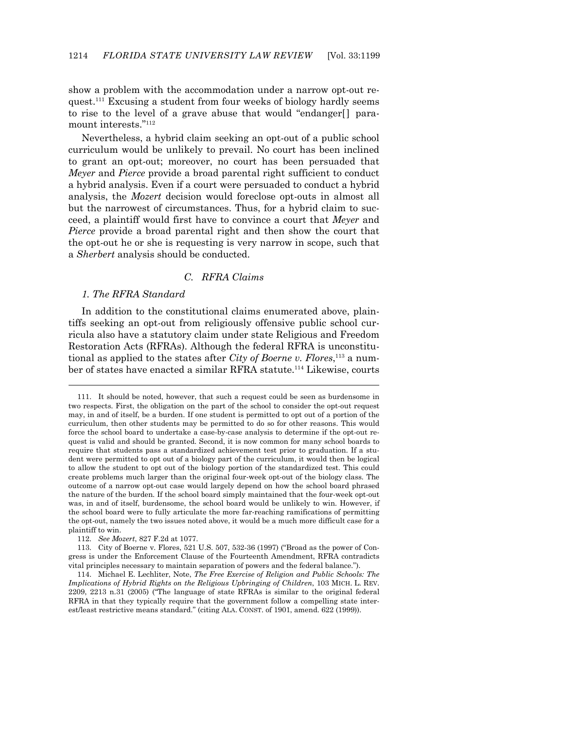show a problem with the accommodation under a narrow opt-out request.<sup>111</sup> Excusing a student from four weeks of biology hardly seems to rise to the level of a grave abuse that would "endanger<sup>[]</sup> paramount interests."112

 Nevertheless, a hybrid claim seeking an opt-out of a public school curriculum would be unlikely to prevail. No court has been inclined to grant an opt-out; moreover, no court has been persuaded that *Meyer* and *Pierce* provide a broad parental right sufficient to conduct a hybrid analysis. Even if a court were persuaded to conduct a hybrid analysis, the *Mozert* decision would foreclose opt-outs in almost all but the narrowest of circumstances. Thus, for a hybrid claim to succeed, a plaintiff would first have to convince a court that *Meyer* and *Pierce* provide a broad parental right and then show the court that the opt-out he or she is requesting is very narrow in scope, such that a *Sherbert* analysis should be conducted.

#### *C. RFRA Claims*

#### *1. The RFRA Standard*

-

 In addition to the constitutional claims enumerated above, plaintiffs seeking an opt-out from religiously offensive public school curricula also have a statutory claim under state Religious and Freedom Restoration Acts (RFRAs). Although the federal RFRA is unconstitutional as applied to the states after *City of Boerne v. Flores*, 113 a number of states have enacted a similar RFRA statute.<sup>114</sup> Likewise, courts

 <sup>111.</sup> It should be noted, however, that such a request could be seen as burdensome in two respects. First, the obligation on the part of the school to consider the opt-out request may, in and of itself, be a burden. If one student is permitted to opt out of a portion of the curriculum, then other students may be permitted to do so for other reasons. This would force the school board to undertake a case-by-case analysis to determine if the opt-out request is valid and should be granted. Second, it is now common for many school boards to require that students pass a standardized achievement test prior to graduation. If a student were permitted to opt out of a biology part of the curriculum, it would then be logical to allow the student to opt out of the biology portion of the standardized test. This could create problems much larger than the original four-week opt-out of the biology class. The outcome of a narrow opt-out case would largely depend on how the school board phrased the nature of the burden. If the school board simply maintained that the four-week opt-out was, in and of itself, burdensome, the school board would be unlikely to win. However, if the school board were to fully articulate the more far-reaching ramifications of permitting the opt-out, namely the two issues noted above, it would be a much more difficult case for a plaintiff to win.

 <sup>112.</sup> *See Mozert*, 827 F.2d at 1077.

 <sup>113.</sup> City of Boerne v. Flores, 521 U.S. 507, 532-36 (1997) ("Broad as the power of Congress is under the Enforcement Clause of the Fourteenth Amendment, RFRA contradicts vital principles necessary to maintain separation of powers and the federal balance.").

 <sup>114.</sup> Michael E. Lechliter, Note, *The Free Exercise of Religion and Public Schools: The Implications of Hybrid Rights on the Religious Upbringing of Children*, 103 MICH. L. REV. 2209, 2213 n.31 (2005) ("The language of state RFRAs is similar to the original federal RFRA in that they typically require that the government follow a compelling state interest/least restrictive means standard." (citing ALA. CONST. of 1901, amend. 622 (1999)).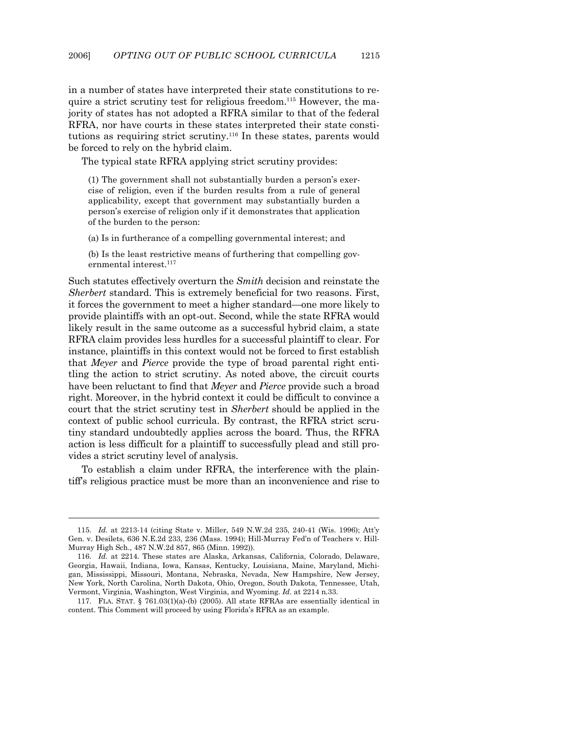in a number of states have interpreted their state constitutions to require a strict scrutiny test for religious freedom.<sup>115</sup> However, the majority of states has not adopted a RFRA similar to that of the federal RFRA, nor have courts in these states interpreted their state constitutions as requiring strict scrutiny.116 In these states, parents would be forced to rely on the hybrid claim.

The typical state RFRA applying strict scrutiny provides:

(1) The government shall not substantially burden a person's exercise of religion, even if the burden results from a rule of general applicability, except that government may substantially burden a person's exercise of religion only if it demonstrates that application of the burden to the person:

(a) Is in furtherance of a compelling governmental interest; and

(b) Is the least restrictive means of furthering that compelling governmental interest.<sup>117</sup>

Such statutes effectively overturn the *Smith* decision and reinstate the *Sherbert* standard. This is extremely beneficial for two reasons. First, it forces the government to meet a higher standard—one more likely to provide plaintiffs with an opt-out. Second, while the state RFRA would likely result in the same outcome as a successful hybrid claim, a state RFRA claim provides less hurdles for a successful plaintiff to clear. For instance, plaintiffs in this context would not be forced to first establish that *Meyer* and *Pierce* provide the type of broad parental right entitling the action to strict scrutiny. As noted above, the circuit courts have been reluctant to find that *Meyer* and *Pierce* provide such a broad right. Moreover, in the hybrid context it could be difficult to convince a court that the strict scrutiny test in *Sherbert* should be applied in the context of public school curricula. By contrast, the RFRA strict scrutiny standard undoubtedly applies across the board. Thus, the RFRA action is less difficult for a plaintiff to successfully plead and still provides a strict scrutiny level of analysis.

 To establish a claim under RFRA, the interference with the plaintiff's religious practice must be more than an inconvenience and rise to

 <sup>115.</sup> *Id.* at 2213-14 (citing State v. Miller, 549 N.W.2d 235, 240-41 (Wis. 1996); Att'y Gen. v. Desilets, 636 N.E.2d 233, 236 (Mass. 1994); Hill-Murray Fed'n of Teachers v. Hill-Murray High Sch., 487 N.W.2d 857, 865 (Minn. 1992)).

 <sup>116.</sup> *Id.* at 2214. These states are Alaska, Arkansas, California, Colorado, Delaware, Georgia, Hawaii, Indiana, Iowa, Kansas, Kentucky, Louisiana, Maine, Maryland, Michigan, Mississippi, Missouri, Montana, Nebraska, Nevada, New Hampshire, New Jersey, New York, North Carolina, North Dakota, Ohio, Oregon, South Dakota, Tennessee, Utah, Vermont, Virginia, Washington, West Virginia, and Wyoming. *Id.* at 2214 n.33.

 <sup>117.</sup> FLA. STAT. § 761.03(1)(a)-(b) (2005). All state RFRAs are essentially identical in content. This Comment will proceed by using Florida's RFRA as an example.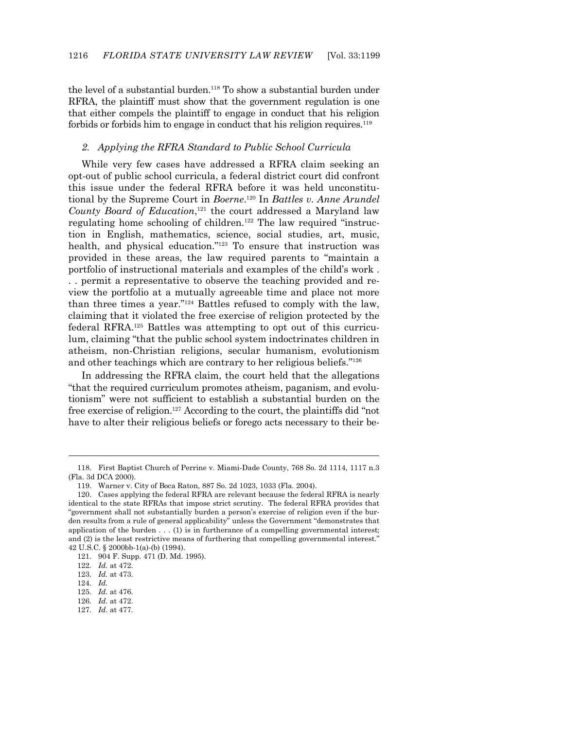the level of a substantial burden.118 To show a substantial burden under RFRA, the plaintiff must show that the government regulation is one that either compels the plaintiff to engage in conduct that his religion forbids or forbids him to engage in conduct that his religion requires.<sup>119</sup>

#### *2. Applying the RFRA Standard to Public School Curricula*

 While very few cases have addressed a RFRA claim seeking an opt-out of public school curricula, a federal district court did confront this issue under the federal RFRA before it was held unconstitutional by the Supreme Court in *Boerne*. 120 In *Battles v. Anne Arundel County Board of Education*, 121 the court addressed a Maryland law regulating home schooling of children.<sup>122</sup> The law required "instruction in English, mathematics, science, social studies, art, music, health, and physical education."<sup>123</sup> To ensure that instruction was provided in these areas, the law required parents to "maintain a portfolio of instructional materials and examples of the child's work . . . permit a representative to observe the teaching provided and review the portfolio at a mutually agreeable time and place not more than three times a year."124 Battles refused to comply with the law, claiming that it violated the free exercise of religion protected by the federal RFRA.125 Battles was attempting to opt out of this curriculum, claiming "that the public school system indoctrinates children in atheism, non-Christian religions, secular humanism, evolutionism and other teachings which are contrary to her religious beliefs."126

 In addressing the RFRA claim, the court held that the allegations "that the required curriculum promotes atheism, paganism, and evolutionism" were not sufficient to establish a substantial burden on the free exercise of religion.127 According to the court, the plaintiffs did "not have to alter their religious beliefs or forego acts necessary to their be-

-

127. *Id.* at 477.

 <sup>118.</sup> First Baptist Church of Perrine v. Miami-Dade County, 768 So. 2d 1114, 1117 n.3 (Fla. 3d DCA 2000).

 <sup>119.</sup> Warner v. City of Boca Raton, 887 So. 2d 1023, 1033 (Fla. 2004).

 <sup>120.</sup> Cases applying the federal RFRA are relevant because the federal RFRA is nearly identical to the state RFRAs that impose strict scrutiny. The federal RFRA provides that "government shall not substantially burden a person's exercise of religion even if the burden results from a rule of general applicability" unless the Government "demonstrates that application of the burden  $\dots$  (1) is in furtherance of a compelling governmental interest; and (2) is the least restrictive means of furthering that compelling governmental interest." 42 U.S.C. § 2000bb-1(a)-(b) (1994).

 <sup>121. 904</sup> F. Supp. 471 (D. Md. 1995).

 <sup>122.</sup> *Id.* at 472.

 <sup>123.</sup> *Id.* at 473.

 <sup>124.</sup> *Id.*

 <sup>125.</sup> *Id.* at 476.

 <sup>126.</sup> *Id.* at 472.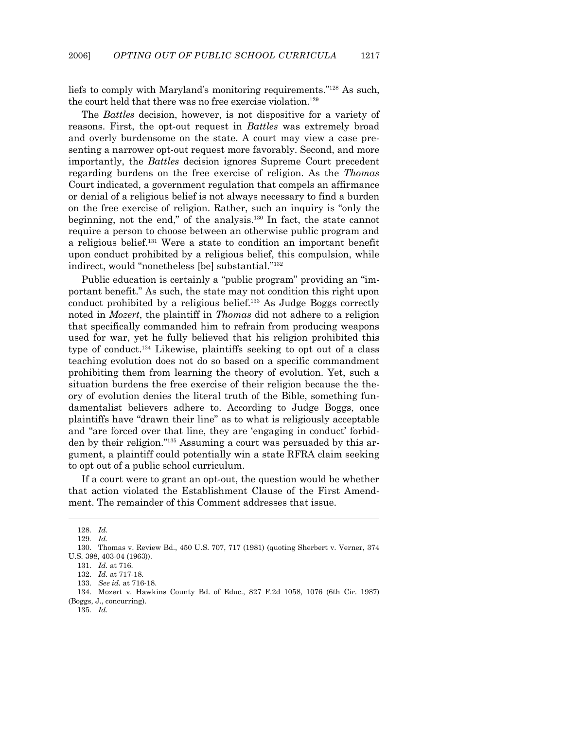liefs to comply with Maryland's monitoring requirements."128 As such, the court held that there was no free exercise violation.<sup>129</sup>

 The *Battles* decision, however, is not dispositive for a variety of reasons. First, the opt-out request in *Battles* was extremely broad and overly burdensome on the state. A court may view a case presenting a narrower opt-out request more favorably. Second, and more importantly, the *Battles* decision ignores Supreme Court precedent regarding burdens on the free exercise of religion. As the *Thomas* Court indicated, a government regulation that compels an affirmance or denial of a religious belief is not always necessary to find a burden on the free exercise of religion. Rather, such an inquiry is "only the beginning, not the end," of the analysis.130 In fact, the state cannot require a person to choose between an otherwise public program and a religious belief.131 Were a state to condition an important benefit upon conduct prohibited by a religious belief, this compulsion, while indirect, would "nonetheless [be] substantial."132

 Public education is certainly a "public program" providing an "important benefit." As such, the state may not condition this right upon conduct prohibited by a religious belief.133 As Judge Boggs correctly noted in *Mozert*, the plaintiff in *Thomas* did not adhere to a religion that specifically commanded him to refrain from producing weapons used for war, yet he fully believed that his religion prohibited this type of conduct.134 Likewise, plaintiffs seeking to opt out of a class teaching evolution does not do so based on a specific commandment prohibiting them from learning the theory of evolution. Yet, such a situation burdens the free exercise of their religion because the theory of evolution denies the literal truth of the Bible, something fundamentalist believers adhere to. According to Judge Boggs, once plaintiffs have "drawn their line" as to what is religiously acceptable and "are forced over that line, they are 'engaging in conduct' forbidden by their religion."135 Assuming a court was persuaded by this argument, a plaintiff could potentially win a state RFRA claim seeking to opt out of a public school curriculum.

 If a court were to grant an opt-out, the question would be whether that action violated the Establishment Clause of the First Amendment. The remainder of this Comment addresses that issue.

 <sup>128.</sup> *Id.*

 <sup>129.</sup> *Id.*

 <sup>130.</sup> Thomas v. Review Bd., 450 U.S. 707, 717 (1981) (quoting Sherbert v. Verner, 374 U.S. 398, 403-04 (1963)).

 <sup>131.</sup> *Id.* at 716.

 <sup>132.</sup> *Id.* at 717-18.

 <sup>133.</sup> *See id.* at 716-18.

 <sup>134.</sup> Mozert v. Hawkins County Bd. of Educ., 827 F.2d 1058, 1076 (6th Cir. 1987) (Boggs, J., concurring).

 <sup>135.</sup> *Id*.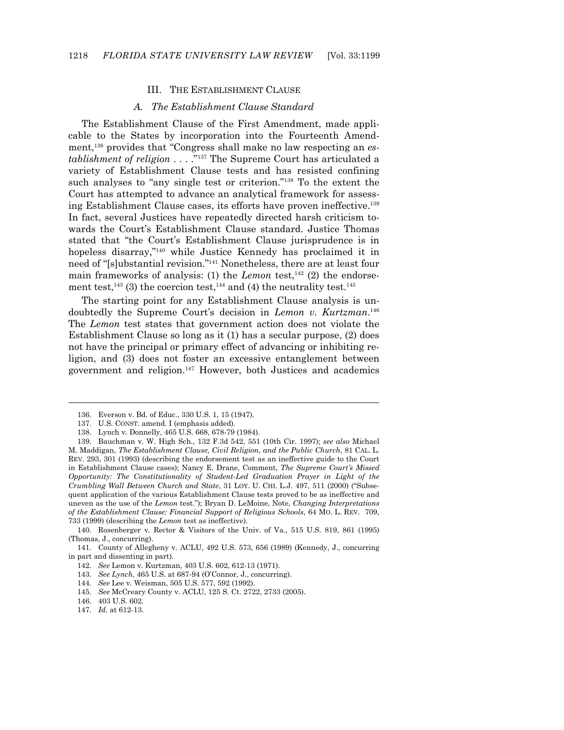#### III. THE ESTABLISHMENT CLAUSE

#### *A. The Establishment Clause Standard*

 The Establishment Clause of the First Amendment, made applicable to the States by incorporation into the Fourteenth Amendment,136 provides that "Congress shall make no law respecting an *establishment of religion* . . . ."137 The Supreme Court has articulated a variety of Establishment Clause tests and has resisted confining such analyses to "any single test or criterion."138 To the extent the Court has attempted to advance an analytical framework for assessing Establishment Clause cases, its efforts have proven ineffective.139 In fact, several Justices have repeatedly directed harsh criticism towards the Court's Establishment Clause standard. Justice Thomas stated that "the Court's Establishment Clause jurisprudence is in hopeless disarray,"<sup>140</sup> while Justice Kennedy has proclaimed it in need of "[s]ubstantial revision."141 Nonetheless, there are at least four main frameworks of analysis: (1) the *Lemon* test,<sup>142</sup> (2) the endorsement test, $^{143}$  (3) the coercion test, $^{144}$  and (4) the neutrality test. $^{145}$ 

 The starting point for any Establishment Clause analysis is undoubtedly the Supreme Court's decision in *Lemon v. Kurtzman*. 146 The *Lemon* test states that government action does not violate the Establishment Clause so long as it (1) has a secular purpose, (2) does not have the principal or primary effect of advancing or inhibiting religion, and (3) does not foster an excessive entanglement between government and religion.147 However, both Justices and academics

- 143. *See Lynch*, 465 U.S. at 687-94 (O'Connor, J., concurring).
- 144. *See* Lee v. Weisman, 505 U.S. 577, 592 (1992).
- 145. *See* McCreary County v. ACLU, 125 S. Ct. 2722, 2733 (2005).

 <sup>136.</sup> Everson v. Bd. of Educ., 330 U.S. 1, 15 (1947).

 <sup>137.</sup> U.S. CONST. amend. I (emphasis added).

 <sup>138.</sup> Lynch v. Donnelly, 465 U.S. 668, 678-79 (1984).

 <sup>139.</sup> Bauchman v. W. High Sch., 132 F.3d 542, 551 (10th Cir. 1997); *see also* Michael M. Maddigan, *The Establishment Clause, Civil Religion, and the Public Church*, 81 CAL. L. REV. 293, 301 (1993) (describing the endorsement test as an ineffective guide to the Court in Establishment Clause cases); Nancy E. Drane, Comment, *The Supreme Court's Missed Opportunity: The Constitutionality of Student-Led Graduation Prayer in Light of the Crumbling Wall Between Church and State*, 31 LOY. U. CHI. L.J. 497, 511 (2000) ("Subsequent application of the various Establishment Clause tests proved to be as ineffective and uneven as the use of the *Lemon* test."); Bryan D. LeMoine, Note, *Changing Interpretations of the Establishment Clause: Financial Support of Religious Schools*, 64 MO. L. REV. 709, 733 (1999) (describing the *Lemon* test as ineffective).

 <sup>140.</sup> Rosenberger v. Rector & Visitors of the Univ. of Va., 515 U.S. 819, 861 (1995) (Thomas, J., concurring).

 <sup>141.</sup> County of Allegheny v. ACLU, 492 U.S. 573, 656 (1989) (Kennedy, J., concurring in part and dissenting in part).

 <sup>142.</sup> *See* Lemon v. Kurtzman, 403 U.S. 602, 612-13 (1971).

 <sup>146. 403</sup> U.S. 602.

 <sup>147.</sup> *Id.* at 612-13.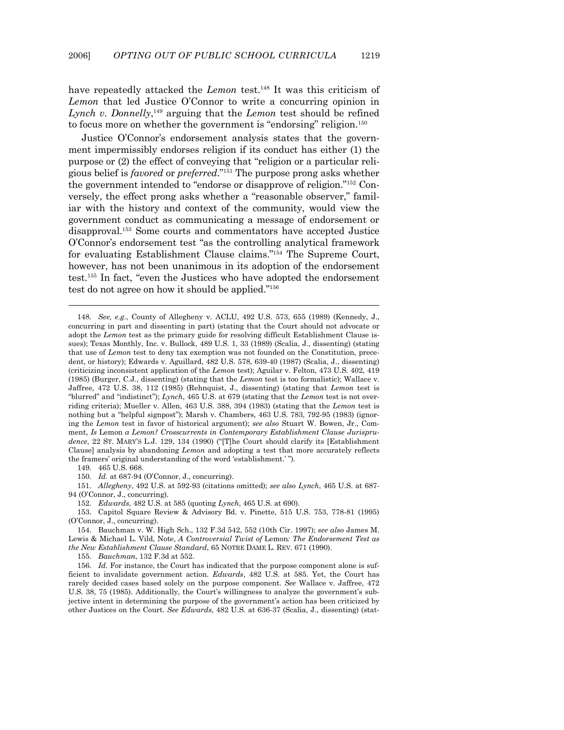have repeatedly attacked the *Lemon* test.<sup>148</sup> It was this criticism of *Lemon* that led Justice O'Connor to write a concurring opinion in Lynch v. Donnelly,<sup>149</sup> arguing that the *Lemon* test should be refined to focus more on whether the government is "endorsing" religion.<sup>150</sup>

 Justice O'Connor's endorsement analysis states that the government impermissibly endorses religion if its conduct has either (1) the purpose or (2) the effect of conveying that "religion or a particular religious belief is *favored* or *preferred*."151 The purpose prong asks whether the government intended to "endorse or disapprove of religion."152 Conversely, the effect prong asks whether a "reasonable observer," familiar with the history and context of the community, would view the government conduct as communicating a message of endorsement or disapproval.153 Some courts and commentators have accepted Justice O'Connor's endorsement test "as the controlling analytical framework for evaluating Establishment Clause claims."154 The Supreme Court, however, has not been unanimous in its adoption of the endorsement test.155 In fact, "even the Justices who have adopted the endorsement test do not agree on how it should be applied."156

149. 465 U.S. 668.

-

150. *Id.* at 687-94 (O'Connor, J., concurring).

152. *Edwards*, 482 U.S. at 585 (quoting *Lynch*, 465 U.S. at 690).

 153. Capitol Square Review & Advisory Bd. v. Pinette, 515 U.S. 753, 778-81 (1995) (O'Connor, J., concurring).

 154. Bauchman v. W. High Sch., 132 F.3d 542, 552 (10th Cir. 1997); *see also* James M. Lewis & Michael L. Vild, Note, *A Controversial Twist of* Lemon*: The Endorsement Test as the New Establishment Clause Standard*, 65 NOTRE DAME L. REV. 671 (1990).

155. *Bauchman*, 132 F.3d at 552.

 <sup>148.</sup> *See, e.g.*, County of Allegheny v. ACLU, 492 U.S. 573, 655 (1989) (Kennedy, J., concurring in part and dissenting in part) (stating that the Court should not advocate or adopt the *Lemon* test as the primary guide for resolving difficult Establishment Clause issues); Texas Monthly, Inc. v. Bullock, 489 U.S. 1, 33 (1989) (Scalia, J., dissenting) (stating that use of *Lemon* test to deny tax exemption was not founded on the Constitution, precedent, or history); Edwards v. Aguillard, 482 U.S. 578, 639-40 (1987) (Scalia, J., dissenting) (criticizing inconsistent application of the *Lemon* test); Aguilar v. Felton, 473 U.S. 402, 419 (1985) (Burger, C.J., dissenting) (stating that the *Lemon* test is too formalistic); Wallace v. Jaffree, 472 U.S. 38, 112 (1985) (Rehnquist, J., dissenting) (stating that *Lemon* test is "blurred" and "indistinct"); *Lynch*, 465 U.S. at 679 (stating that the *Lemon* test is not overriding criteria); Mueller v. Allen, 463 U.S. 388, 394 (1983) (stating that the *Lemon* test is nothing but a "helpful signpost"); Marsh v. Chambers, 463 U.S. 783, 792-95 (1983) (ignoring the *Lemon* test in favor of historical argument); *see also* Stuart W. Bowen, Jr., Comment, *Is* Lemon *a Lemon? Crosscurrents in Contemporary Establishment Clause Jurisprudence*, 22 ST. MARY'S L.J. 129, 134 (1990) ("[T]he Court should clarify its [Establishment Clause] analysis by abandoning *Lemon* and adopting a test that more accurately reflects the framers' original understanding of the word 'establishment.' ").

 <sup>151.</sup> *Allegheny*, 492 U.S. at 592-93 (citations omitted); *see also Lynch*, 465 U.S. at 687- 94 (O'Connor, J., concurring).

 <sup>156.</sup> *Id.* For instance, the Court has indicated that the purpose component alone is sufficient to invalidate government action. *Edwards*, 482 U.S. at 585. Yet, the Court has rarely decided cases based solely on the purpose component. *See* Wallace v. Jaffree, 472 U.S. 38, 75 (1985). Additionally, the Court's willingness to analyze the government's subjective intent in determining the purpose of the government's action has been criticized by other Justices on the Court. *See Edwards*, 482 U.S. at 636-37 (Scalia, J., dissenting) (stat-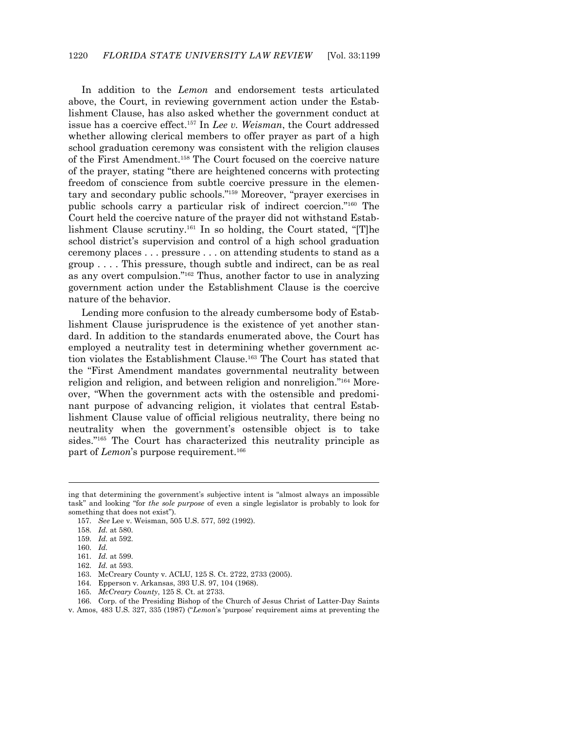In addition to the *Lemon* and endorsement tests articulated above, the Court, in reviewing government action under the Establishment Clause, has also asked whether the government conduct at issue has a coercive effect.157 In *Lee v. Weisman*, the Court addressed whether allowing clerical members to offer prayer as part of a high school graduation ceremony was consistent with the religion clauses of the First Amendment.158 The Court focused on the coercive nature of the prayer, stating "there are heightened concerns with protecting freedom of conscience from subtle coercive pressure in the elementary and secondary public schools."159 Moreover, "prayer exercises in public schools carry a particular risk of indirect coercion."160 The Court held the coercive nature of the prayer did not withstand Establishment Clause scrutiny.161 In so holding, the Court stated, "[T]he school district's supervision and control of a high school graduation ceremony places . . . pressure . . . on attending students to stand as a group . . . . This pressure, though subtle and indirect, can be as real as any overt compulsion."162 Thus, another factor to use in analyzing government action under the Establishment Clause is the coercive nature of the behavior.

 Lending more confusion to the already cumbersome body of Establishment Clause jurisprudence is the existence of yet another standard. In addition to the standards enumerated above, the Court has employed a neutrality test in determining whether government action violates the Establishment Clause.<sup>163</sup> The Court has stated that the "First Amendment mandates governmental neutrality between religion and religion, and between religion and nonreligion."164 Moreover, "When the government acts with the ostensible and predominant purpose of advancing religion, it violates that central Establishment Clause value of official religious neutrality, there being no neutrality when the government's ostensible object is to take sides."165 The Court has characterized this neutrality principle as part of *Lemon*'s purpose requirement.<sup>166</sup>

- 161. *Id.* at 599.
- 162. *Id.* at 593.

- 164. Epperson v. Arkansas, 393 U.S. 97, 104 (1968).
- 165. *McCreary County*, 125 S. Ct. at 2733.

ing that determining the government's subjective intent is "almost always an impossible task" and looking "for *the sole purpose* of even a single legislator is probably to look for something that does not exist").

 <sup>157.</sup> *See* Lee v. Weisman, 505 U.S. 577, 592 (1992).

 <sup>158.</sup> *Id.* at 580.

 <sup>159.</sup> *Id.* at 592.

 <sup>160.</sup> *Id.*

 <sup>163.</sup> McCreary County v. ACLU, 125 S. Ct. 2722, 2733 (2005).

 <sup>166.</sup> Corp. of the Presiding Bishop of the Church of Jesus Christ of Latter-Day Saints

v. Amos, 483 U.S. 327, 335 (1987) ("*Lemon*'s 'purpose' requirement aims at preventing the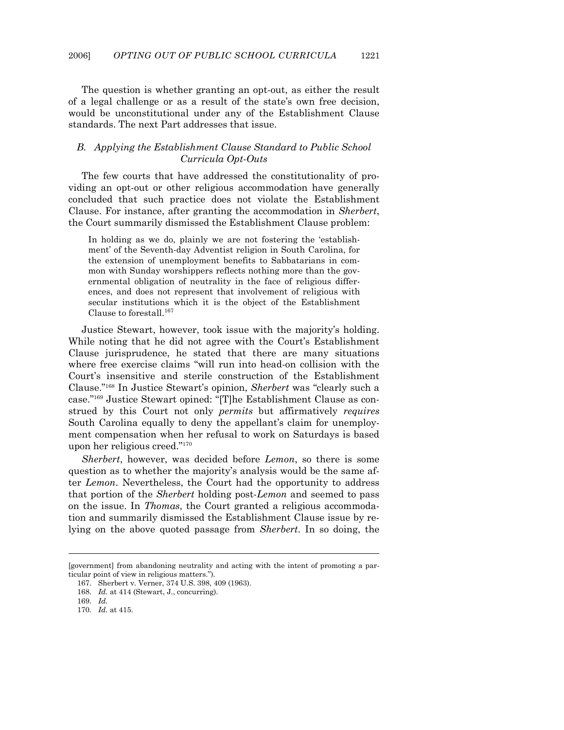The question is whether granting an opt-out, as either the result of a legal challenge or as a result of the state's own free decision, would be unconstitutional under any of the Establishment Clause standards. The next Part addresses that issue.

#### *B. Applying the Establishment Clause Standard to Public School Curricula Opt-Outs*

 The few courts that have addressed the constitutionality of providing an opt-out or other religious accommodation have generally concluded that such practice does not violate the Establishment Clause. For instance, after granting the accommodation in *Sherbert*, the Court summarily dismissed the Establishment Clause problem:

In holding as we do, plainly we are not fostering the 'establishment' of the Seventh-day Adventist religion in South Carolina, for the extension of unemployment benefits to Sabbatarians in common with Sunday worshippers reflects nothing more than the governmental obligation of neutrality in the face of religious differences, and does not represent that involvement of religious with secular institutions which it is the object of the Establishment Clause to forestall.<sup>167</sup>

 Justice Stewart, however, took issue with the majority's holding. While noting that he did not agree with the Court's Establishment Clause jurisprudence, he stated that there are many situations where free exercise claims "will run into head-on collision with the Court's insensitive and sterile construction of the Establishment Clause."168 In Justice Stewart's opinion, *Sherbert* was "clearly such a case."169 Justice Stewart opined: "[T]he Establishment Clause as construed by this Court not only *permits* but affirmatively *requires* South Carolina equally to deny the appellant's claim for unemployment compensation when her refusal to work on Saturdays is based upon her religious creed."170

*Sherbert*, however, was decided before *Lemon*, so there is some question as to whether the majority's analysis would be the same after *Lemon*. Nevertheless, the Court had the opportunity to address that portion of the *Sherbert* holding post-*Lemon* and seemed to pass on the issue. In *Thomas*, the Court granted a religious accommodation and summarily dismissed the Establishment Clause issue by relying on the above quoted passage from *Sherbert*. In so doing, the

<sup>[</sup>government] from abandoning neutrality and acting with the intent of promoting a particular point of view in religious matters.").

 <sup>167.</sup> Sherbert v. Verner, 374 U.S. 398, 409 (1963).

 <sup>168.</sup> *Id.* at 414 (Stewart, J., concurring).

 <sup>169.</sup> *Id.*

 <sup>170.</sup> *Id.* at 415.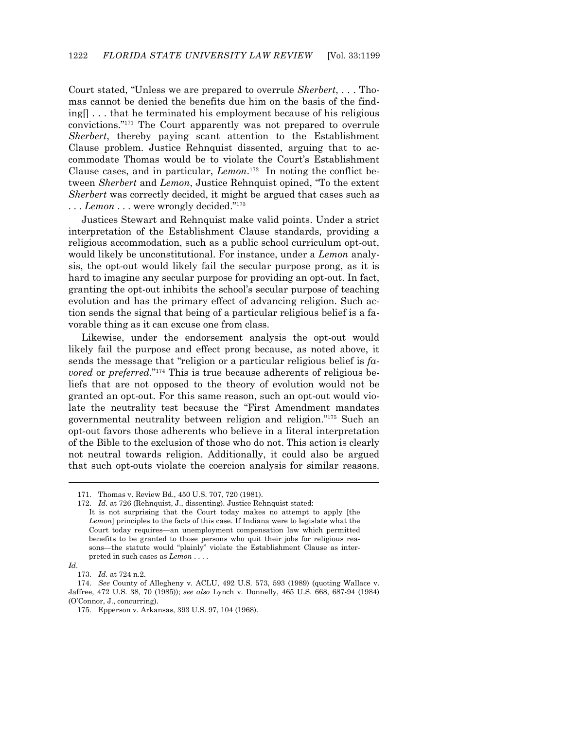Court stated, "Unless we are prepared to overrule *Sherbert*, . . . Thomas cannot be denied the benefits due him on the basis of the finding[] . . . that he terminated his employment because of his religious convictions."171 The Court apparently was not prepared to overrule *Sherbert*, thereby paying scant attention to the Establishment Clause problem. Justice Rehnquist dissented, arguing that to accommodate Thomas would be to violate the Court's Establishment Clause cases, and in particular, *Lemon*. 172 In noting the conflict between *Sherbert* and *Lemon*, Justice Rehnquist opined, "To the extent *Sherbert* was correctly decided, it might be argued that cases such as ... *Lemon* ... were wrongly decided."<sup>173</sup>

 Justices Stewart and Rehnquist make valid points. Under a strict interpretation of the Establishment Clause standards, providing a religious accommodation, such as a public school curriculum opt-out, would likely be unconstitutional. For instance, under a *Lemon* analysis, the opt-out would likely fail the secular purpose prong, as it is hard to imagine any secular purpose for providing an opt-out. In fact, granting the opt-out inhibits the school's secular purpose of teaching evolution and has the primary effect of advancing religion. Such action sends the signal that being of a particular religious belief is a favorable thing as it can excuse one from class.

 Likewise, under the endorsement analysis the opt-out would likely fail the purpose and effect prong because, as noted above, it sends the message that "religion or a particular religious belief is *favored* or *preferred*."174 This is true because adherents of religious beliefs that are not opposed to the theory of evolution would not be granted an opt-out. For this same reason, such an opt-out would violate the neutrality test because the "First Amendment mandates governmental neutrality between religion and religion."175 Such an opt-out favors those adherents who believe in a literal interpretation of the Bible to the exclusion of those who do not. This action is clearly not neutral towards religion. Additionally, it could also be argued that such opt-outs violate the coercion analysis for similar reasons.

*Id*.

 <sup>171.</sup> Thomas v. Review Bd., 450 U.S. 707, 720 (1981).

 <sup>172.</sup> *Id.* at 726 (Rehnquist, J., dissenting). Justice Rehnquist stated:

It is not surprising that the Court today makes no attempt to apply [the *Lemon*] principles to the facts of this case. If Indiana were to legislate what the Court today requires—an unemployment compensation law which permitted benefits to be granted to those persons who quit their jobs for religious reasons—the statute would "plainly" violate the Establishment Clause as interpreted in such cases as *Lemon* . . . .

 <sup>173.</sup> *Id.* at 724 n.2.

 <sup>174.</sup> *See* County of Allegheny v. ACLU, 492 U.S. 573, 593 (1989) (quoting Wallace v. Jaffree, 472 U.S. 38, 70 (1985)); *see also* Lynch v. Donnelly, 465 U.S. 668, 687-94 (1984) (O'Connor, J., concurring).

 <sup>175.</sup> Epperson v. Arkansas, 393 U.S. 97, 104 (1968).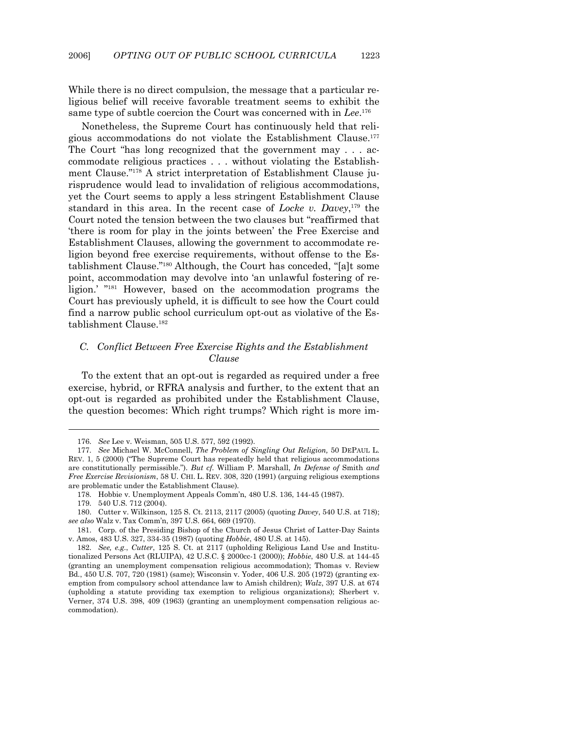While there is no direct compulsion, the message that a particular religious belief will receive favorable treatment seems to exhibit the same type of subtle coercion the Court was concerned with in *Lee*. 176

 Nonetheless, the Supreme Court has continuously held that religious accommodations do not violate the Establishment Clause.177 The Court "has long recognized that the government may . . . accommodate religious practices . . . without violating the Establishment Clause."178 A strict interpretation of Establishment Clause jurisprudence would lead to invalidation of religious accommodations, yet the Court seems to apply a less stringent Establishment Clause standard in this area. In the recent case of *Locke v. Davey*, 179 the Court noted the tension between the two clauses but "reaffirmed that 'there is room for play in the joints between' the Free Exercise and Establishment Clauses, allowing the government to accommodate religion beyond free exercise requirements, without offense to the Establishment Clause."180 Although, the Court has conceded, "[a]t some point, accommodation may devolve into 'an unlawful fostering of religion.' "181 However, based on the accommodation programs the Court has previously upheld, it is difficult to see how the Court could find a narrow public school curriculum opt-out as violative of the Establishment Clause.182

#### *C. Conflict Between Free Exercise Rights and the Establishment Clause*

 To the extent that an opt-out is regarded as required under a free exercise, hybrid, or RFRA analysis and further, to the extent that an opt-out is regarded as prohibited under the Establishment Clause, the question becomes: Which right trumps? Which right is more im-

 <sup>176.</sup> *See* Lee v. Weisman, 505 U.S. 577, 592 (1992).

 <sup>177.</sup> *See* Michael W. McConnell, *The Problem of Singling Out Religion,* 50 DEPAUL L. REV. 1, 5 (2000) ("The Supreme Court has repeatedly held that religious accommodations are constitutionally permissible."). *But cf.* William P. Marshall, *In Defense of* Smith *and Free Exercise Revisionism*, 58 U. CHI. L. REV. 308, 320 (1991) (arguing religious exemptions are problematic under the Establishment Clause).

 <sup>178.</sup> Hobbie v. Unemployment Appeals Comm'n, 480 U.S. 136, 144-45 (1987).

 <sup>179. 540</sup> U.S. 712 (2004).

 <sup>180.</sup> Cutter v. Wilkinson, 125 S. Ct. 2113, 2117 (2005) (quoting *Davey*, 540 U.S. at 718); *see also* Walz v. Tax Comm'n, 397 U.S. 664, 669 (1970).

 <sup>181.</sup> Corp. of the Presiding Bishop of the Church of Jesus Christ of Latter-Day Saints v. Amos, 483 U.S. 327, 334-35 (1987) (quoting *Hobbie*, 480 U.S. at 145).

 <sup>182.</sup> *See, e.g.*, *Cutter*, 125 S. Ct. at 2117 (upholding Religious Land Use and Institutionalized Persons Act (RLUIPA), 42 U.S.C. § 2000cc-1 (2000)); *Hobbie*, 480 U.S. at 144-45 (granting an unemployment compensation religious accommodation); Thomas v. Review Bd., 450 U.S. 707, 720 (1981) (same); Wisconsin v. Yoder, 406 U.S. 205 (1972) (granting exemption from compulsory school attendance law to Amish children); *Walz*, 397 U.S. at 674 (upholding a statute providing tax exemption to religious organizations); Sherbert v. Verner, 374 U.S. 398, 409 (1963) (granting an unemployment compensation religious accommodation).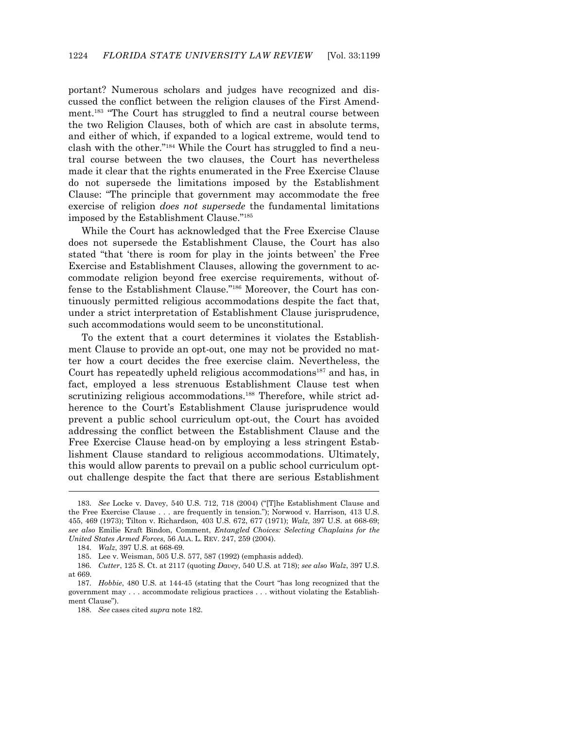portant? Numerous scholars and judges have recognized and discussed the conflict between the religion clauses of the First Amendment.183 "The Court has struggled to find a neutral course between the two Religion Clauses, both of which are cast in absolute terms, and either of which, if expanded to a logical extreme, would tend to clash with the other."184 While the Court has struggled to find a neutral course between the two clauses, the Court has nevertheless made it clear that the rights enumerated in the Free Exercise Clause do not supersede the limitations imposed by the Establishment Clause: "The principle that government may accommodate the free exercise of religion *does not supersede* the fundamental limitations imposed by the Establishment Clause."185

 While the Court has acknowledged that the Free Exercise Clause does not supersede the Establishment Clause, the Court has also stated "that 'there is room for play in the joints between' the Free Exercise and Establishment Clauses, allowing the government to accommodate religion beyond free exercise requirements, without offense to the Establishment Clause."186 Moreover, the Court has continuously permitted religious accommodations despite the fact that, under a strict interpretation of Establishment Clause jurisprudence, such accommodations would seem to be unconstitutional.

 To the extent that a court determines it violates the Establishment Clause to provide an opt-out, one may not be provided no matter how a court decides the free exercise claim. Nevertheless, the Court has repeatedly upheld religious accommodations<sup>187</sup> and has, in fact, employed a less strenuous Establishment Clause test when scrutinizing religious accommodations.<sup>188</sup> Therefore, while strict adherence to the Court's Establishment Clause jurisprudence would prevent a public school curriculum opt-out, the Court has avoided addressing the conflict between the Establishment Clause and the Free Exercise Clause head-on by employing a less stringent Establishment Clause standard to religious accommodations. Ultimately, this would allow parents to prevail on a public school curriculum optout challenge despite the fact that there are serious Establishment

 <sup>183.</sup> *See* Locke v. Davey, 540 U.S. 712, 718 (2004) ("[T]he Establishment Clause and the Free Exercise Clause . . . are frequently in tension."); Norwood v. Harrison*,* 413 U.S. 455, 469 (1973); Tilton v. Richardson*,* 403 U.S. 672, 677 (1971); *Walz,* 397 U.S. at 668-69; *see also* Emilie Kraft Bindon, Comment, *Entangled Choices: Selecting Chaplains for the United States Armed Forces*, 56 ALA. L. REV. 247, 259 (2004).

 <sup>184.</sup> *Walz*, 397 U.S. at 668-69.

 <sup>185.</sup> Lee v. Weisman, 505 U.S. 577, 587 (1992) (emphasis added).

 <sup>186.</sup> *Cutter*, 125 S. Ct. at 2117 (quoting *Davey*, 540 U.S. at 718); *see also Walz*, 397 U.S. at 669.

 <sup>187.</sup> *Hobbie*, 480 U.S. at 144-45 (stating that the Court "has long recognized that the government may . . . accommodate religious practices . . . without violating the Establishment Clause").

 <sup>188.</sup> *See* cases cited *supra* note 182.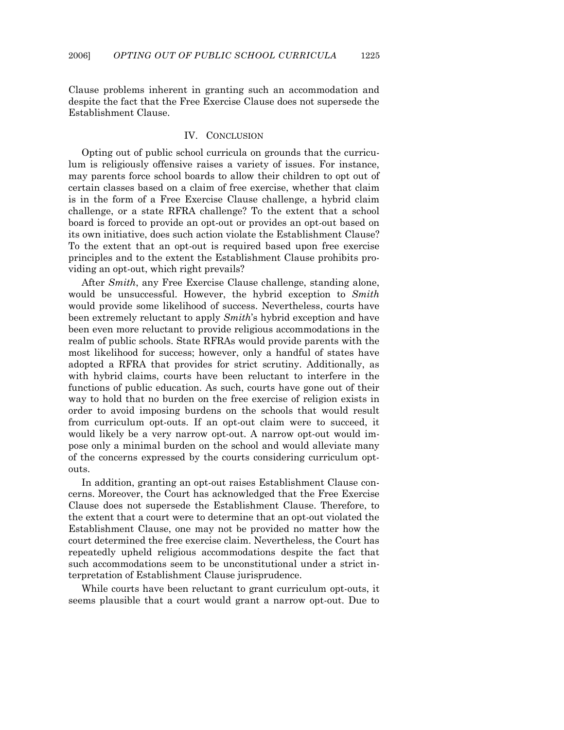Clause problems inherent in granting such an accommodation and despite the fact that the Free Exercise Clause does not supersede the Establishment Clause.

#### IV. CONCLUSION

 Opting out of public school curricula on grounds that the curriculum is religiously offensive raises a variety of issues. For instance, may parents force school boards to allow their children to opt out of certain classes based on a claim of free exercise, whether that claim is in the form of a Free Exercise Clause challenge, a hybrid claim challenge, or a state RFRA challenge? To the extent that a school board is forced to provide an opt-out or provides an opt-out based on its own initiative, does such action violate the Establishment Clause? To the extent that an opt-out is required based upon free exercise principles and to the extent the Establishment Clause prohibits providing an opt-out, which right prevails?

 After *Smith*, any Free Exercise Clause challenge, standing alone, would be unsuccessful. However, the hybrid exception to *Smith* would provide some likelihood of success. Nevertheless, courts have been extremely reluctant to apply *Smith*'s hybrid exception and have been even more reluctant to provide religious accommodations in the realm of public schools. State RFRAs would provide parents with the most likelihood for success; however, only a handful of states have adopted a RFRA that provides for strict scrutiny. Additionally, as with hybrid claims, courts have been reluctant to interfere in the functions of public education. As such, courts have gone out of their way to hold that no burden on the free exercise of religion exists in order to avoid imposing burdens on the schools that would result from curriculum opt-outs. If an opt-out claim were to succeed, it would likely be a very narrow opt-out. A narrow opt-out would impose only a minimal burden on the school and would alleviate many of the concerns expressed by the courts considering curriculum optouts.

 In addition, granting an opt-out raises Establishment Clause concerns. Moreover, the Court has acknowledged that the Free Exercise Clause does not supersede the Establishment Clause. Therefore, to the extent that a court were to determine that an opt-out violated the Establishment Clause, one may not be provided no matter how the court determined the free exercise claim. Nevertheless, the Court has repeatedly upheld religious accommodations despite the fact that such accommodations seem to be unconstitutional under a strict interpretation of Establishment Clause jurisprudence.

 While courts have been reluctant to grant curriculum opt-outs, it seems plausible that a court would grant a narrow opt-out. Due to